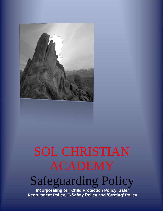

# SOL CHRISTIAN ACADEMY

## Safeguarding Policy

**Incorporating our Child Protection Policy, Safer Recruitment Policy, E-Safety Policy and 'Sexting' Policy**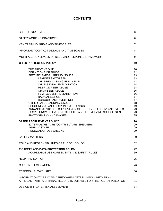## **CONTENTS**

| <b>SCHOOL STATEMENT</b>                                                                                                                                                                                                                                                                                                                                                                                                                                                                                                             | 3                                                                                            |
|-------------------------------------------------------------------------------------------------------------------------------------------------------------------------------------------------------------------------------------------------------------------------------------------------------------------------------------------------------------------------------------------------------------------------------------------------------------------------------------------------------------------------------------|----------------------------------------------------------------------------------------------|
| SAFER WORKING PRACTICES                                                                                                                                                                                                                                                                                                                                                                                                                                                                                                             | 6                                                                                            |
| KEY TRAINING AREAS AND TIMESCALES                                                                                                                                                                                                                                                                                                                                                                                                                                                                                                   | $\overline{7}$                                                                               |
| IMPORTANT CONTACT DETAILS AND TIMESCALES                                                                                                                                                                                                                                                                                                                                                                                                                                                                                            | 8                                                                                            |
| MULTI-AGENCY LEVELS OF NEED AND RESPONSE FRAMEWORK                                                                                                                                                                                                                                                                                                                                                                                                                                                                                  | 9                                                                                            |
| <b>CHILD PROTECTION POLICY</b>                                                                                                                                                                                                                                                                                                                                                                                                                                                                                                      | 10                                                                                           |
| THE PREVENT DUTY<br><b>DEFINITIONS OF ABUSE</b><br>SPECIFIC SAFEGUARDING ISSUES<br><b>LEARNERS WITH SEN</b><br><b>CHILDREN MISSING EDUCATION</b><br>CHILD SEXUAL EXPLOITATION<br>PEER ON PEER ABUSE<br>ORGANISED ABUSE<br>FEMALE GENITAL MUTILATION<br><b>RADICALISATION</b><br>HONOUR BASED VIOLENCE<br>OTHER SAFEGUARDING ISSUES<br>RECOGNISING AND RESPONDING TO ABUSE<br>ARRANGEMENTS FOR SUPERVISION OF GROUP/ CHILDREN'S ACTIVITIES<br>SUSPICIONS/ALLEGATIONS OF CHILD ABUSE INVOLVING SCHOOL STAFF<br>PHOTOGRAPHY AND IMAGES | 10<br>12<br>13<br>13<br>13<br>14<br>14<br>16<br>16<br>17<br>17<br>18<br>19<br>23<br>23<br>25 |
| <b>SAFER RECRUITMENT POLICY</b><br>EXTERNAL VISITORS/CONTRIBUTORS/SPEAKERS<br><b>AGENCY STAFF</b><br>RENEWAL OF DBS CHECKS                                                                                                                                                                                                                                                                                                                                                                                                          | 26<br>29<br>29<br>29                                                                         |
| <b>SAFETY MATTERS</b>                                                                                                                                                                                                                                                                                                                                                                                                                                                                                                               | 30                                                                                           |
| ROLE AND RESPONSIBILITIES OF THE SCHOOL DSL                                                                                                                                                                                                                                                                                                                                                                                                                                                                                         | 32                                                                                           |
| <b>E-SAFETY AND DATA PROTECTION POLICY</b><br>ACCPETABLE USE AGREEMENTS & E-SAFETY RULES                                                                                                                                                                                                                                                                                                                                                                                                                                            | 42<br>69                                                                                     |
| <b>HELP AND SUPPORT</b>                                                                                                                                                                                                                                                                                                                                                                                                                                                                                                             | 75                                                                                           |
| <b>CURRENT LEGISLATION</b>                                                                                                                                                                                                                                                                                                                                                                                                                                                                                                          | 76                                                                                           |
| REFERRAL FLOWCHART                                                                                                                                                                                                                                                                                                                                                                                                                                                                                                                  | 80                                                                                           |
| INFORMATION TO BE CONSIDERED WHEN DETERMINING WHETHER AN<br>APPLICANT WITH A CRIMINAL RECORD IS SUITABLE FOR THE POST APPLIED FOR                                                                                                                                                                                                                                                                                                                                                                                                   | 81                                                                                           |
| DBS CERTIFICATE RISK ASSESSMENT                                                                                                                                                                                                                                                                                                                                                                                                                                                                                                     | 84                                                                                           |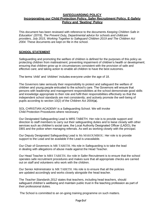#### **SAFEGUARDING POLICY Incorporating our Child Protection Policy, Safer Recruitment Policy, E-Safety Policy and 'Sexting' Policy**

This document has been reviewed with reference to the documents *Keeping Children Safe in Education' (2019), The Prevent Duty, Departmental advice for schools and childcare providers, July 2015, Working Together to Safeguard Children 2019 and The Children Act 2004.* These documents are kept on file in the school.

#### **SCHOOL STATEMENT**

Safeguarding and promoting the welfare of children is defined for the purposes of this policy as protecting children from maltreatment; preventing impairment of children's health or development; ensuring that children grow up in circumstances consistent with the provision of safe and effective care; and taking action to enable all children to have the best outcomes.

The terms 'child' and 'children' includes everyone under the age of 18.

The Governors take seriously their responsibility to protect and safeguard the welfare of children and young people entrusted to the school's care. The Governors will ensure that persons with leadership and management responsibilities at the school demonstrate good skills and knowledge appropriate to their role and fulfil their responsibilities effectively so that the independent school standards are met consistently; and actively promote the well-being of pupils according to section 10(2) of the Children Act 2004(**a**).

SOL CHRISTIAN ACADEMY is a Safeguarding School. We will invoke Child Protection Procedures where necessary.

Our Designated Safeguarding Lead is MRS TABETH. Her role is to provide support and direction to staff members to carry out their safeguarding duties and to liaise closely with other services such as children's social care, the Local Authority Designated Officer (LADO), the DBS and the police when managing referrals. As well as working closely with the principal.

Our Deputy Designated Safeguarding Lead is Ms MAKOUMBOU. Her role is to provide support to the Lead and be available if the Lead is unavailable.

Our Chair of Governors is MR TABETH. His role in Safeguarding is to take the lead in dealing with allegations of abuse made against the Head Teacher.

Our Head Teacher is MRS TABETH. Her role in Safer Recruitment is to ensure that the school operates safe recruitment procedures and makes sure that all appropriate checks are carried out on staff and volunteers who work with the children.

Our Senior Administrator is MR TABETH. His role is to ensure that all the policies are updated accordingly and works closely alongside the head teacher.

The *Teacher Standards 2012* states that teachers, including head teachers, should safeguard children's wellbeing and maintain public trust in the teaching profession as part of their professional duties.

The School is committed to an on-going training programme on such matters.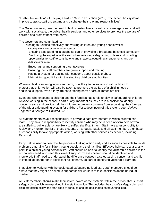"Further Information", of Keeping Children Safe in Education (2019). The school has systems in place to assist staff understand and discharge their role and responsibilities".

The Governors recognise the need to build constructive links with childcare agencies, and will work with social care, the police, health services and other services to promote the welfare of children and protect them from harm.

The Governors are committed to:

Listening to, relating effectively and valuing children and young people whilst ensuring their protection within school activities.

- $\overline{\phantom{a}}$ Ensuring safeguarding is taught 'as part of providing a broad and balanced curriculum' Employing the expertise of the staff when reviewing safeguarding policies and providing opportunities for staff to contribute to and shape safeguarding arrangements and the child protection policy.
- Encouraging and supporting parents/carers  $\Box$
- $\Box$ Ensuring that staff members are given support and training
- $\Box$ Having a system for dealing with concerns about possible abuse
- $\Box$ Maintaining good links with the statutory child care authorities

Where a child is suffering significant harm, or is likely to do so, action will be taken to protect that child. Action will also be taken to promote the welfare of a child in need of additional support, even if they are not suffering harm or are at immediate risk.

Everyone who encounters children and their families has a role to play in safeguarding children. Anyone working in the school is particularly important as they are in a position to identify concerns early and provide help for children, to prevent concerns from escalating; they form part of the wider safeguarding system for children. For a description of this system, see *Working Together to Safeguard Children 2018*.

All staff members have a responsibility to provide a safe environment in which children can learn. They have a responsibility to identify children who may be in need of extra help or who are suffering, vulnerable, or are likely to suffer, significant harm. Staff have a responsibility to review and monitor the list of these students on a regular basis and all staff members then have a responsibility to take appropriate action, working with other services as needed, including Early Help.

Early Help is used to describe the process of taking action early and as soon as possible to tackle problems emerging for children, young people and their families. Effective help can occur at any point in a child or young person's life. Staff should be able to identify the vulnerable children in the school who need who need this level of support. These children should be identified and monitored. Staff need to understand the difference between a safeguarding concern and a child in immediate danger or at significant risk of harm, as part of identifying vulnerable learners.

In addition to working with the designated safeguarding lead staff, staff members should be aware that they might be asked to support social workers to take decisions about individual children.

All staff members should make themselves aware of the systems within the school that support safeguarding, which are explained in the staff induction. This includes the school's safeguarding and child protection policy; the staff code of conduct; and the designated safeguarding lead.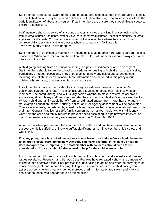Staff members should be aware of the signs of abuse and neglect so that they are able to identify cases of children who may be in need of help or protection. Knowing what to look for is vital to the early identification of abuse and neglect. If staff members are unsure they should always speak to children's social care.

Staff members should be aware of any signs of extremist views of any kind in our school, whether from internal sources –students, staff or Governors, or external sources - school community, external agencies or individuals. Our students see our school as a safe place where they can explore controversial issues safely and where our teachers encourage and facilitate this – we have a duty to ensure this happens.

Staff members are advised to maintain an attitude of 'it could happen here' where safeguarding is concerned. When concerned about the welfare of a child, staff members should always act in the interests of the child.

A child going missing from an education setting is a potential indicator of abuse or neglect. Staff members should follow the school's procedures for dealing with children who go missing, particularly on repeat occasions. They should act to identify any risk of abuse and neglect, including sexual abuse or exploitation. More information can be found in this policy about children who run away or go missing from home or care.

If staff members have concerns about a child they should raise these with the school's designated safeguarding lead. This also includes situations of abuse that may involve staff members. The safeguarding lead will usually decide whether to make a referral to children's social care, although any staff member can refer their concerns to children's social care directly. Where a child and family would benefit from co-ordinated support from more than one agency (for example education, health, housing, police) an inter-agency assessment will be conducted. These assessments, undertaken by a lead professional (a teacher, special educational needs coordinator, General Practitioner (GP), family support worker, and/or health visitor), will identify what help the child and family require to prevent needs escalating to a point where intervention would be needed via a statutory assessment under the Children Act 1989.

A concern is when you are troubled about a child's welfare and you have reasonable cause to suspect a child is suffering, or likely to suffer, significant harm. It involves the child's safety and well-being.

#### **If, at any point, there is a risk of immediate serious harm to a child a referral should be made to children's social care immediately. Anybody can make a referral. If the child's situation does not appear to be improving, the staff member with concerns should press for reconsideration. Concerns should always lead to help for the child at some point.**

It is important for children to receive the right help at the right time to address risks and prevent issues escalating. Research and Serious Case Reviews have repeatedly shown the dangers of failing to take effective action. Poor practice includes: failing to act on and refer the early signs of abuse and neglect, poor record keeping, failing to listen to the views of the child, failing to reassess concerns when situations do not improve, sharing information too slowly and a lack of challenge to those who appear not to be taking action.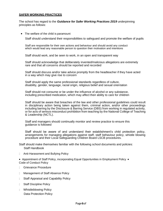#### **SAFER WORKING PRACTICES**

The school has regard to the *Guidance for Safer Working Practices 2019* underpinning principles as follows:

• The welfare of the child is paramount

Staff should understand their responsibilities to safeguard and promote the welfare of pupils

Staff are responsible for their own actions and behaviour and should avoid any conduct which would lead any reasonable person to question their motivation and intentions

Staff should work, and be seen to work, in an open and transparent way

Staff should acknowledge that deliberately invented/malicious allegations are extremely rare and that all concerns should be reported and recorded

Staff should discuss and/or take advice promptly from the headteacher if they have acted in a way which may give rise to concern

Staff should apply the same professional standards regardless of culture, disability, gender, language, racial origin, religious belief and sexual orientation

Staff should not consume or be under the influence of alcohol or any substance, including prescribed medication, which may affect their ability to care for children

Staff should be aware that breaches of the law and other professional guidelines could result in disciplinary action being taken against them, criminal action, and/or other proceedings including barring by the Disclosure & Barring Service (DBS) from working in regulated activity, or for acts of serious misconduct prohibition from teaching by the National College of Teaching & Leadership (NCTL).

Staff and managers should continually monitor and review practice to ensure this guidance is followed

Staff should be aware of and understand their establishment's child protection policy, arrangements for managing allegations against staff, staff behaviour policy, whistle blowing procedure and their Local Safeguarding Children Board LSCB procedures.

Staff should make themselves familiar with the following school documents and policies: Staff Handbook

Anti-Harassment and Bullying Policy

• Appointment of Staff Policy, incorporating Equal Opportunities in Employment Policy • Code of Conduct Policy

- Grievance Procedure
- Management of Staff Absence Policy  $\mathbb{R}$
- Staff Appraisal and Capability Policy  $\Box$
- Staff Discipline Policy  $\Box$
- Whistleblowing Policy Data Protection Policy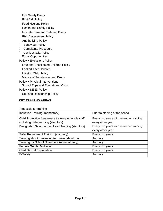| <b>Fire Safety Policy</b>            |
|--------------------------------------|
| <b>First Aid Policy</b>              |
| Food Hygiene Policy                  |
| <b>Health and Safety Policy</b>      |
| Intimate Care and Toileting Policy   |
| <b>Risk Assessment Policy</b>        |
| Anti-bullying Policy                 |
| <b>Behaviour Policy</b><br>Ш         |
| <b>Complaints Procedure</b>          |
| П<br><b>Confidentiality Policy</b>   |
| <b>Equal Opportunities</b>           |
| Policy • Exclusions Policy           |
| Late and Uncollected Children Policy |
| Looked After Children                |
| Missing Child Policy                 |
| Misuse of Substances and Drugs       |
| Policy • Physical Interventions      |
| School Trips and Educational Visits  |
| Policy • SEND Policy                 |
| Sex and Relationship Policy          |

## **KEY TRAINING AREAS**

Timescale for training

| Induction Training (mandatory)                      | Prior to starting at the school         |
|-----------------------------------------------------|-----------------------------------------|
| Child Protection Awareness training for whole staff | Every two years with refresher training |
| including Safeguarding (statutory)                  | every other year                        |
| Designated Safeguarding Lead Training (statutory)   | Every two years with refresher training |
|                                                     | every other year                        |
| Safer Recruitment Training (statutory)              | Every two years                         |
| Training about preventing terrorism (statutory)     | Annually                                |
| Training for School Governors (non-statutory)       | Annually                                |
| <b>Female Genital Mutilation</b>                    | Every two years                         |
| <b>Child Sexual Exploitation</b>                    | Every two years                         |
| E-Safety                                            | Annually                                |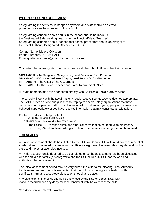#### **IMPORTANT CONTACT DETAILS:**

Safeguarding incidents could happen anywhere and staff should be alert to possible concerns being raised in this school

Safeguarding concerns about adults in the school should be made to the Designated Safeguarding Lead or to the Principal/Head Teacher\* Safeguarding concerns about independent school proprietors should go straight to the Local Authority Designated Officer - the LADO.

Contact Name: Majella O'Hagan Phone Number:0161 2341 214 [Email:quality.assurance@manchester.gcsx.gov.uk](mailto:quality.assurance@manchester.gcsx.gov.uk)

To contact the following staff members please call the school office in the first instance.

MRS TABETH - the Designated Safeguarding Lead Person for Child Protection MRS MAKOUMBOU- the Designated Deputy Lead Person for Child Protection MR TABETH– The Chair of the Governors MRS TABETH - The Head Teacher and Safer Recruitment Officer

All staff members may raise concerns directly with Children's Social Care services

The school will work with the Local Authority Designated Officer (LADO) as deemed appropriate. The LADO provide advice and guidance to employers and voluntary organisations that have concerns about a person working or volunteering with children and young people who may have behaved inappropriately or you have received information that may constitute an allegation.

For further advice or help contact:

□ The NSPCC Helpline: 0808 800 5000

□ The NSPCC whistle-blowing helpline: 0800 028 0285

The Police: 101 to report crime and other concerns that do not require an emergency response; 999 when there is danger to life or when violence is being used or threatened

#### **TIMESCALES**

An Initial Assessment should be initiated by the DSL or Deputy DSL within 24 hours of receipt of a referral and completed in a maximum of **10 working days**. However, this may depend on the case and the other agencies involved.

An initial assessment is deemed to be completed once the assessment has been discussed with the child and family (or caregivers) and the DSL or Deputy DSL has viewed and authorised the assessment.

The initial assessment period may be very brief if the criteria for initiating Local Authority involvement are met, i.e. it is suspected that the child is suffering, or is likely to suffer significant harm and a strategy discussion should take place.

Any extension to time-scale should be authorised by the DSL or Deputy DSL, with reasons recorded and any delay must be consistent with the welfare of the child.

See *Appendix 4* Referral Flowchart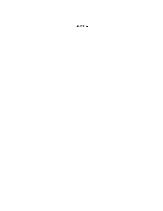Page **8** of **83**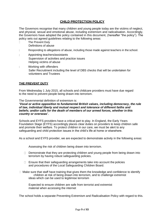#### **CHILD PROTECTION POLICY**

The Governors recognise that many children and young people today are the victims of neglect, and physical, sexual and emotional abuse, including extremism and radicalisation. Accordingly, the Governors have adopted the policy contained in this document, (hereafter "the policy"). The policy sets out agreed guidelines relating to the following areas:

- $\Box$ The Prevent Duty Definitions of abuse
- Responding to allegations of abuse, including those made against teachers in the school.  $\begin{bmatrix} 1 \\ 2 \end{bmatrix}$
- Appointing teachers/assistants  $\Box$ Supervision of activities and practice issues Helping victims of abuse
- Working with offenders  $\Box$ Safer Recruitment including the level of DBS checks that will be undertaken for volunteers and Trustees

#### **THE PREVENT DUTY**

From Wednesday 1 July 2015, all schools and childcare providers must have due regard to the need to prevent people being drawn into terrorism.

The Governmental definition of extremism is:

*'Vocal or active opposition to fundamental British values, including democracy, the rule of law, individual liberty and mutual respect and tolerance of different faiths and beliefs; and/or calls for the death of members of our armed forces, whether in this country or overseas'.*

Schools and EYFS providers have a critical part to play. In England, the Early Years Foundation Stage (EYFS) accordingly places clear duties on providers to keep children safe and promote their welfare. To protect children in our care, we must be alert to any safeguarding and child protection issues in the child's life at home or elsewhere.

As a school and EYFS provider, we are expected to demonstrate activity in the following areas:

Assessing the risk of children being drawn into terrorism.

- $\Box$  Demonstrate that they are protecting children and young people from being drawn into terrorism by having robust safeguarding policies.
- $\Box$  Ensure that their safeguarding arrangements take into account the policies and procedures of the Local Safeguarding Children Board.
- Make sure that staff have training that gives them the knowledge and confidence to identify children at risk of being drawn into terrorism, and to challenge extremist ideas which can be used to legitimise terrorism

Expected to ensure children are safe from terrorist and extremist material when accessing the internet

The school holds a separate Preventing Extremism and Radicalisation Policy with regard to this.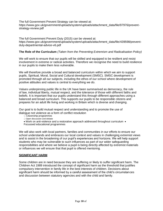The full Government Prevent Strategy can be viewed at: [https://www.gov.uk/government/uploads/system/uploads/attachment\\_data/file/97976/prevent](http://www.gov.uk/government/uploads/system/uploads/attachment_data/file/97976/prevent-)strategy-review.pdf

The full Government Prevent Duty (2015) can be viewed at: [https://www.gov.uk/government/uploads/system/uploads/attachment\\_data/file/439598/prevent](http://www.gov.uk/government/uploads/system/uploads/attachment_data/file/439598/prevent-)duty-departmental-advice-v6.pdf

#### **The Role of the Curriculum** *(Taken from the Preventing Extremism and Radicalisation Policy)*

We will work to ensure that our pupils will be skilled and equipped to be resilient and resist involvement in extreme or radical activities. Therefore we recognise the need to build resilience in our pupils to make them less vulnerable.

We will therefore provide a broad and balanced curriculum within which we aim to support pupils, Spiritual, Moral, Social and Cultural development (SMSC). SMSC development is promoted through all our subjects, including the ethos of our school where development of positive attitudes and values is central to everything we do.

Values underpinning public life in the UK have been summarised as democracy, the rule of law, individual liberty, mutual respect, and the tolerance of those with different faiths and beliefs. It is important that our pupils understand this through different approaches using a balanced and broad curriculum. This supports our pupils to be responsible citizens and prepares for an adult life living and working in Britain which is diverse and changing.

Our goal is to build mutual respect and understanding and to promote the use of dialogue not violence as a form of conflict resolution

- Citizenship programmes
- □ Open discussion and debate
- Work on anti-violence and a restorative approach addressed throughout curriculum •
- Focussed educational programmes

We will also work with local partners, families and communities in our efforts to ensure our school understands and embraces our local context and values in challenging extremist views and to assist in the broadening of our pupil's experiences and horizons. We will help support students who may be vulnerable to such influences as part of our wider safeguarding responsibilities and where we believe a pupil is being directly affected by extremist materials or influences we will ensure that that pupil is offered mentoring.

#### **SIGNIFICANT HARM**

Some children are in need because they are suffering or likely to suffer significant harm. The Children Act 1989 introduced the concept of significant harm as the threshold that justifies compulsory intervention in family life in the best interests of children. Decisions about significant harm should be informed by a careful assessment of the child's circumstances and discussion between statutory agencies and with the child and family.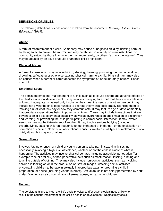#### **DEFINITIONS OF ABUSE**

The following definitions of child abuse are taken from the document *'Keeping Children Safe in Education' (2019)*:

#### **Abuse**

A form of maltreatment of a child. Somebody may abuse or neglect a child by inflicting harm or by failing to act to prevent harm. Children may be abused in a family or in an institutional or community setting by those known to them or, more rarely, by others (e.g. via the internet). They may be abused by an adult or adults or another child or children.

#### **Physical Abuse**

A form of abuse which may involve hitting, shaking, throwing, poisoning, burning or scalding, drowning, suffocating or otherwise causing physical harm to a child. Physical harm may also be caused when a parent or carer fabricates the symptoms of, or deliberately induces, illness in a child

#### **Emotional abuse**

The persistent emotional maltreatment of a child such as to cause severe and adverse effects on the child's emotional development. It may involve conveying to a child that they are worthless or unloved, inadequate, or valued only insofar as they meet the needs of another person. It may include not giving the child opportunities to express their views, deliberately silencing them or 'making fun' of what they say or how they communicate. It may feature age or developmentally inappropriate expectations being imposed on children. These may include interactions that are beyond a child's developmental capability as well as overprotection and limitation of exploration and learning, or preventing the child participating in normal social interaction. It may involve seeing or hearing the ill-treatment of another. It may involve serious bullying (including cyberbullying), causing children frequently to feel frightened or in danger, or the exploitation or corruption of children. Some level of emotional abuse is involved in all types of maltreatment of a child, although it may occur alone.

#### **Sexual Abuse**

Involves forcing or enticing a child or young person to take part in sexual activities, not necessarily involving a high level of violence, whether or not the child is aware of what is happening. The activities may involve physical contact, including assault by penetration (for example rape or oral sex) or non-penetrative acts such as masturbation, kissing, rubbing and touching outside of clothing. They may also include non-contact activities, such as involving children in looking at, or in the production of, sexual images, watching sexual activities, encouraging children to behave in sexually inappropriate ways, or grooming a child in preparation for abuse (including via the internet). Sexual abuse is not solely perpetrated by adult males. Women can also commit acts of sexual abuse, as can other children.

#### **Neglect**

The persistent failure to meet a child's basic physical and/or psychological needs, likely to result in the serious impairment of the child's health or development. Neglect may occur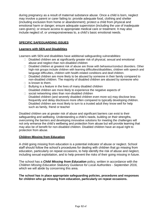during pregnancy as a result of maternal substance abuse. Once a child is born, neglect may involve a parent or carer failing to: provide adequate food, clothing and shelter (including exclusion from home or abandonment); protect a child from physical and emotional harm or danger; ensure adequate supervision (including the use of inadequate care-givers); or ensure access to appropriate medical care or treatment. It may also include neglect of, or unresponsiveness to, a child's basic emotional needs.

#### **SPECIFIC SAFEGUARDING ISSUES**

#### **Learners with SEN and Disabilities**

Learners with SEN and disabilities have additional safeguarding vulnerabilities:

- $\Box$  Disabled children are at significantly greater risk of physical, sexual and emotional abuse and neglect than non-disabled children
- Disabled children at greatest risk of abuse are those with behaviour/conduct disorders. Other high-risk groups include children with learning difficulties/disabilities, children with speech and language difficulties, children with health-related conditions and deaf children.
- $\Box$  Disabled children are more likely to be abused by someone in their family compared to non-disabled children. The majority of disabled children are abused by someone who
- $\Box$  is known to them.
- $\Box$  Bullying is a feature in the lives of many disabled children Disabled children are more likely to experience the negative aspects of
- $\Box$  social networking sites than non-disabled children Disabled children (and severely disabled children even more so) may disclose less frequently and delay disclosure more often compared to typically developing children. Disabled children are most likely to turn to a trusted adult they know well for help such as family, friend or teacher

Disabled children are at greater risk of abuse and significant barriers can exist to their safeguarding and wellbeing. Understanding a child's needs, building on their strengths, overcoming the barriers and developing innovative solutions for meeting the challenges will not only enhance the child's wellbeing and protection from abuse but will provide learning that may also be of benefit for non-disabled children. Disabled children have an equal right to protection from abuse.

#### **Children Missing from Education**

A child going missing from education is a potential indicator of abuse or neglect. School staff should follow the school's procedures for dealing with children that go missing from education, particularly on repeat occasions, to help identify the risk of abuse and neglect, including sexual exploitation, and to help prevent the risks of their going missing in future.

The school has a *Child Missing from Education* policy, written in accordance with the *Children Missing Education Statutory Guidance for Local Authorities - September 2016, which* we will abide by concerning this area.

**The school has in place appropriate safeguarding policies, procedures and responses for children who go missing from education, particularly on repeat occasions.**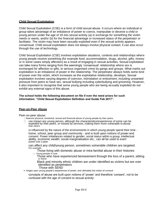#### **Child Sexual Exploitation**

Child Sexual Exploitation (CSE) is a form of child sexual abuse. It occurs where an individual or group takes advantage of an imbalance of power to coerce, manipulate or deceive a child or young person under the age of 18 into sexual activity (a) in exchange for something the victim needs or wants, and/or (b) for the financial advantage or increased status of the perpetrator or facilitator. The victim may have been sexually exploited even if the sexual activity appears consensual. Child sexual exploitation does not always involve physical contact; it can also occur through the use of technology.

Child Sexual Exploitation (CSE) involves exploitative situations, contexts and relationships where young people receive something (for example food, accommodation, drugs, alcohol, gifts, money or in some cases simply affection) as a result of engaging in sexual activities. Sexual exploitation can take many forms ranging from the seemingly 'consensual' relationship where sex is exchanged for affection or gifts, to serious organised crime by gangs and groups. What marks out exploitation is an imbalance of power in the relationship. The perpetrator always holds some kind of power over the victim, which increases as the exploitative relationship, develops. Sexual exploitation involves varying degrees of coercion, intimidation or enticement, including unwanted pressure from peers to have sex, sexual bullying including cyberbullying and grooming. However, it also important to recognise that some young people who are being sexually exploited do not exhibit any external signs of this abuse.

#### **The school holds the following document on file if ever the need arises for such information: "Child Sexual Exploitation Definition and Guide Feb 2017".**

#### **Peer-on-Peer Abuse**

#### Peer-on-peer abuse:

 $\Box$  features physical, emotional, sexual and financial abuse of young people by their peers,

can impact any young person, although the characteristics/experiences of some can be  $\Box$ exploited by their peers, or missed by services, making them more vulnerable to abuse than others

is influenced by the nature of the environments in which young people spend their time home, school, peer group and community - and is built upon notions of power and consent. Power imbalances related to gender, social status within a group, intellectual ability, economic wealth, social marginalisation etc., can all be used to exert power over a peer.

can affect any child/young person, sometimes vulnerable children are targeted. For example:

Those living with domestic abuse or intra-familial abuse in their histories o Young people in care

Those who have experienced bereavement through the loss of a parent, sibling or friend

Black and minority ethnic children are under identified as victims but are over identified as perpetrators

Those with SEND

• hinges upon young people's experiences of power, and ultimately the notion of consent

concepts of abuse are built upon notions of 'power' and therefore 'consent', not to be confused with the age of consent to sexual activity: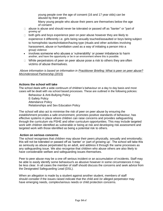young people over the age of consent (16 and 17 year olds) can be abused by their peers

Many young people who abuse their peers are themselves below the age of consent

- $\Box$  abuse is abuse and should never be tolerated or passed off as "banter" or "part of growing up"
- $\Box$  both girls and boys experience peer on peer abuse however they are likely to experience it differently i.e. girls being sexually touched/assaulted or boys being subject to homophobic taunts/initiation/hazing type (rituals and other activities involving harassment, abuse or humiliation used as a way of initiating a person into a group) violence
- involves someone who abuses a 'vulnerability' or power imbalance to harm another, and have the opportunity or be in an environment where this is possible.
- $\Box$  While perpetrators of peer on peer abuse pose a risk to others they are often victims of abuse themselves.

*Above information is based on information in [Practitioner Briefing: What is peer on peer abuse?](http://www.msunderstood.org.uk/18/resources/) [MsUnderstood Partnership \(2015\)](http://www.msunderstood.org.uk/18/resources/)*

#### **Actions the school will take**

The school deals with a wide continuum of children's behaviour on a day to day basis and most cases will be dealt with via school based processes. These are outlined in the following policies:

Behaviour & Anti-Bullying Policy E-Safety Policy Attendance Policy Relationships and Sex Education Policy

The school will also act to minimise the risk of peer on peer abuse by ensuring the establishment provides a safe environment, promotes positive standards of behaviour, has effective systems in place where children can raise concerns and provides safeguarding through the curriculum via PSHE and other curriculum opportunities. This may include targeted work with children identified as vulnerable or being at risk and developing risk assessment and targeted work with those identified as being a potential risk to others.

#### **Action on serious concerns**

The school recognises that children may abuse their peers physically, sexually and emotionally; this will not be tolerated or passed off as 'banter' or 'part of growing up'. The school will take this as seriously as abuse perpetrated by an adult, and address it through the same processes as any safeguarding issue. We also recognise that children who abuse others are also likely to have considerable welfare and safeguarding issues themselves.

Peer to peer abuse may be a one off serious incident or an accumulation of incidents. Staff may be able to easily identify some behaviour/s as abusive however in some circumstances it may be less clear. In all cases the member of staff should discuss the concerns and seek advice from the Designated Safeguarding Lead (DSL).

When an allegation is made by a student against another student, members of staff should consider if the issues raised indicate that the child and /or alleged perpetrator may have emerging needs, complex/serious needs or child protection concerns.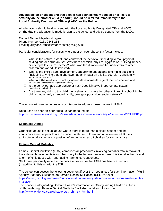**Any suspicion or allegations that a child has been sexually abused or is likely to sexually abuse another child (or adult) should be referred immediately to the Local Authority Designated Officer (LADO) or the Police.**

All allegations should be discussed with the Local Authority Designated Officer (LADO) on **the day** the allegation is made known to the school and advice sought from the LADO

Contact Name: Majella O'Hagan Phone Number:0161 2341 214 [Email:quality.assurance@manchester.gcsx.gov.uk](mailto:quality.assurance@manchester.gcsx.gov.uk)

Particular considerations for cases where peer on peer abuse is a factor include:

- $\Box$  What is the nature, extent, and context of the behaviour including verbal, physical, sexting and/or online abuse? Was there coercion, physical aggression, bullying, bribery or attempts to ensure secrecy? What was the duration and frequency? Were other children and /or adults involved?
- What is the child's age, development, capacity to understand and make decisions (including anything that might have had an impact on this i.e. coercion), and family and social circumstances?
- $\Box$  What are the relative chronological and developmental age of the two children and are there are any differentials in power or authority?
- $\Box$  Is the behaviour age appropriate or not? Does it involve inappropriate sexual knowledge or motivation?
- Are there any risks to the child themselves and others i.e. other children in school, in the child's household, extended family, peer group, or wider social network?

The school will use resources on such issues to address these matters in PSHE.

Resources on peer-on-peer pressure can be found at: <http://www.msunderstood.org.uk/assets/templates/msunderstood/style/documents/MSUPB01.pdf>

#### **Organised Abuse**

.

Organised abuse is sexual abuse where there is more than a single abuser and the adults concerned appear to act in concert to abuse children and/or where an adult uses an institutional framework or position of authority to recruit children for sexual abuse.

#### **Female Genital Mutilation**

Female Genital Mutilation (FGM) comprises all procedures involving partial or total removal of the external female genitalia or other injury to the female genital organs. It is illegal in the UK and a form of child abuse with long-lasting harmful consequences. Staff must personally report to the police a disclosure that FGM has been carried out (in addition to liaising with the DSL.

The school can access the following document if ever the need arises for such information: 'Multi-Agency Statutory Guidance on Female Genital Mutilation' (CEE MOD) or [https://www.gov.uk/government/publications/multi-agency-statutory-guidance-on-female-genital](https://www.gov.uk/government/publications/multi-agency-statutory-guidance-on-female-genital-mutilation)[mutilation](https://www.gov.uk/government/publications/multi-agency-statutory-guidance-on-female-genital-mutilation)

The London Safeguarding Children Board's information on 'Safeguarding Children at Risk of Abuse through Female Genital Mutilation' will also be taken into account: [http://www.londoncp.co.uk/chapters/sg\\_ch\\_risk\\_fgm.html](http://www.londoncp.co.uk/chapters/sg_ch_risk_fgm.html)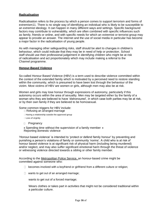#### **Radicalisation**

Radicalisation refers to the process by which a person comes to support terrorism and forms of extremism11. There is no single way of identifying an individual who is likely to be susceptible to an extremist ideology. It can happen in many different ways and settings. Specific background factors may contribute to vulnerability, which are often combined with specific influences such as family, friends or online, and with specific needs for which an extremist or terrorist group may appear to provide an answer. The internet and the use of social media in particular has become a major factor in the radicalisation of young people.

As with managing other safeguarding risks, staff should be alert to changes in children's behaviour, which could indicate that they may be in need of help or protection. School staff should use their professional judgement in identifying children who might be at risk of radicalisation and act proportionately which may include making a referral to the Channel programme.

#### **Honour-Based Violence**

So-called Honour Based Violence (HBV) is a term used to describe violence committed within the context of the extended family which is motivated by a perceived need to restore standing within the community, which is presumed to have been lost through the behaviour of the victim. Most victims of HBV are women or girls, although men may also be at risk.

Women and girls may lose honour through expressions of autonomy, particularly if this autonomy occurs within the area of sexuality. Men may be targeted either by the family of a woman who they are believed to have 'dishonoured', in which case both parties may be at risk, or by their own family if they are believed to be homosexual.

Some common triggers for HBV include:

- □ Refusing an arranged marriage
- $\Box$  Having a relationship outside the approved group

□ Loss of virginity

D Pregnancy

• Spending time without the supervision of a family member • Reporting domestic violence

'Honour-based violence' is intended to 'protect or defend family honour' by preventing and punishing a person's violations of family or community 'norms'. A child who is at risk of honour based violence is at significant risk of physical harm (including being murdered) and/or neglect, and may also suffer significant emotional harm through the threat of violence or witnessing violence directed towards a sibling or other family member.

According to the [Metropolitan Police Service, a](http://safe.met.police.uk/crimes_of_honour/get_the_facts.html)n honour-based crime might be committed against someone who:

- $\Box$  becomes involved with a boyfriend or girlfriend from a different culture or religion;
- $\Box$  wants to get out of an arranged marriage;

wants to get out of a forced marriage;

Wears clothes or takes part in activities that might not be considered traditional within a particular culture.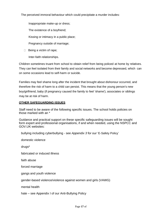The perceived immoral behaviour which could precipitate a murder includes:

Inappropriate make-up or dress; The existence of a boyfriend; Kissing or intimacy in a public place; Pregnancy outside of marriage;

 $\Box$  Being a victim of rape;

Inter-faith relationships.

Children sometimes truant from school to obtain relief from being policed at home by relatives. They can feel isolated from their family and social networks and become depressed, which can on some occasions lead to self-harm or suicide.

Families may feel shame long after the incident that brought about dishonour occurred, and therefore the risk of harm to a child can persist. This means that the young person's new boy/girlfriend, baby (if pregnancy caused the family to feel 'shame'), associates or siblings may be at risk of harm.

#### **OTHER SAFEGUARDING ISSUES**

Staff need to be aware of the following specific issues. The school holds policies on those marked with an \*

Guidance and practical support on these specific safeguarding issues will be sought form expert and professional organisations, if and when needed, using the NSPCC and GOV.UK websites:

bullying including cyberbullying - see *Appendix 3* for our 'E-Safety Policy'

domestic violence

drugs\*

fabricated or induced illness

faith abuse

forced marriage

gangs and youth violence

gender-based violence/violence against women and girls (VAWG)

mental health

hate – see Appendix I of our Anti-Bullying Policy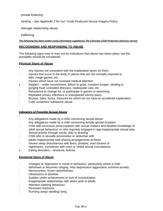private fostering

sexting – see *Appendix 2* for our 'Youth-Produced Sexual Imagery Policy'

teenage relationship abuse

trafficking

*The following has been written using information supplied by The Churches Child Protection Advisory service*

#### **RECOGNISING AND RESPONDING TO ABUSE**

The following signs may or may not be indications that abuse has taken place, but the possibility should be considered.

#### **Physical Signs of Abuse**

•

•

- Any injuries not consistent with the explanation given for them.
- Injuries that occur to the body in places that are not normally exposed to  $\Box$ falls, rough games, etc.
- Injuries which have not received medical attention  $\mathbb{R}$
- Neglect under nourishment, failure to grow, constant hunger, stealing or gorging food, untreated illnesses, inadequate care, etc
- $\overline{\phantom{a}}$ Reluctance to change for, or participate in games or swimming
- Repeated urinary infections or unexplained tummy pains  $\overline{\phantom{a}}$
- Bruises, bites, burns, fractures etc which do not have an accidental explanation  $\mathbb{L}$
- $\overline{\phantom{a}}$ Cuts/ scratches/ substance abuse

#### **Indicators of Possible Sexual Abuse**

- Any allegations made by a child concerning sexual abuse
- Any allegations made by a child concerning female genital mutation  $\mathbb{R}$
- Child with excessive preoccupation with sexual matters and detailed knowledge of  $\Box$ adult sexual behaviour, or who regularly engages in age-inappropriate sexual play
- Sexual activity through words, play or drawing  $\Box$
- $\overline{\phantom{a}}$ Child who is sexually provocative or seductive with
- adults Inappropriate bed-sharing arrangements at home  $\mathbb{R}$
- $\overline{\phantom{a}}$ Severe sleep disturbances with fears, phobias, vivid dreams or nightmares, sometimes with overt or veiled sexual connotations
- Eating disorders anorexia, bulimia

#### **Emotional Signs of Abuse**

- $\begin{array}{c} \hline \end{array}$ Changes or regression in mood or behaviour, particularly where a child withdraws or becomes clinging. Also depression/ aggression, extreme anxiety
- Nervousness, frozen watchfulness  $\Box$
- $\Box$ Obsessions or phobias
- Sudden under-achievement or lack of concentration  $\mathbb{R}$
- Inappropriate relationships with peers and/ or adults  $\mathbb{R}$
- Attention-seeking behaviour  $\overline{\phantom{a}}$
- Persistent tiredness  $\Box$
- $\overline{\phantom{a}}$ Running away/ stealing/ lying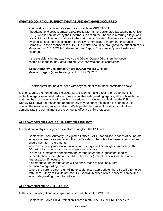#### **WHAT TO DO IF YOU SUSPECT THAT ABUSE MAY HAVE OCCURRED**

You must report concerns as soon as possible to MRS TABETH, ( headteacher@solacademy.org.uk.01616372944) the Designated Safeguarding Officer (DSL), who is nominated by the Governors to act on their behalf in referring allegations or suspicions of neglect or abuse to the statutory authorities. She may also be required by conditions of the School Insurance Policy to immediately inform the Insurance Company. In the absence of the DSL, the matter should be brought to the attention of Ms Makoumoua (01616372944) (hereafter the "Deputy Co-ordinator"). In all instances telephone

If the suspicions in any way involve the DSL or Deputy DSL, then the report should be made to the Safeguarding Governor who should contact the

**Local Authority Designated Officer (LADO)** Majella O'Hagan Majella.o'hagan@manchester.gov.uk 0161 203 3232

Suspicions will not be discussed with anyone other than those nominated above

It is, of course, the right of any individual as a citizen to make direct referrals to the child protection agencies or seek advice from a reputable safeguarding agency, although we hope that members of the school will use this procedure. If, however, you feel that the DSL or Deputy DSL have not responded appropriately to your concerns, then it is open to you to contact the relevant organisation direct. We hope that by making this statement that we demonstrate the commitment of the school to effective child protection.

#### **ALLEGATIONS OF PHYSICAL INJURY OR NEGLECT**

If a child has a physical injury or symptom of neglect, the DSL will:

Contact the Local Authority Designated Officer (LADO) for advice in cases of deliberate injury or where concerned about the child's safety. The school in these circumstances should not inform the parents.

Where emergency medical attention is necessary it will be sought immediately. The DSL will inform the doctor of any suspicions of abuse.

In other circumstances speak with the parent/ carer and suggest that medical help/ attention be sought for the child. The doctor (or health visitor) will then initiate further action, if necessary.

If appropriate, the parent/ carer will be encouraged to seek help from the local Safeguarding Board.

Where the parent/ carer is unwilling to seek help, if appropriate, the DSL will offer to go with them. If they still fail to act, the DSL should, in cases of real concern, contact the local Safeguarding Board for advice.

#### **ALLEGATIONS OF SEXUAL ABUSE**

In the event of allegations or suspicions of sexual abuse, the DSL will:

Contact the Police Child Protection Team directly. The DSL will NOT speak to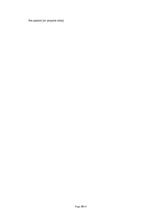the parent (or anyone else).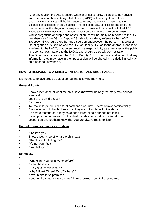If, for any reason, the DSL is unsure whether or not to follow the above, then advice from the Local Authority Designated Officer (LADO) will be sought and followed. Under no circumstances will the DSL attempt to carry out any investigation into the allegation or suspicions of sexual abuse. The role of the DSL is to collect and clarify the precise details of the allegation or suspicion and to provide this information to the LADO, whose task it is to investigate the matter under Section 47 of the Children Act 1989. Whilst allegations or suspicions of sexual abuse will normally be reported to the DSL, the absence of the DSL or Deputy DSL should not delay referral to the LADO. Exceptionally, should there be any disagreement between the person in receipt of the allegation or suspicion and the DSL or Deputy DSL as to the appropriateness of a referral to the LADO, that person retains a responsibility as a member of the public to report serious matters to the LADO, and should do so without hesitation The Governors will support the DSL or Deputy DSL in their role, and accept that any information they may have in their possession will be shared in a strictly limited way on a need to know basis.

#### **HOW TO RESPOND TO A CHILD WANTING TO TALK ABOUT ABUSE**

It is not easy to give precise guidance, but the following may help:

#### **General Points**

- Show acceptance of what the child says (however unlikely the story may sound)
- $\Box$ Keep calm
- $\Box$ Look at the child directly
- Be honest n.
- Tell the child you will need to let someone else know don't promise confidentiality
- Even when a child has broken a rule, they are not to blame for the abuse  $\begin{array}{c} \hline \end{array}$
- Be aware that the child may have been threatened or bribed not to tell  $\begin{array}{c} \hline \end{array}$
- $\Box$ Never push for information. If the child decides not to tell you after all, then accept that and let them know that you are always ready to listen

#### **Helpful things you may say or show**

- •
- "I believe you"
- Show acceptance of what the child says  $\overline{\mathbb{R}}$
- "Thank you for telling me"
- "It's not your fault"
- "I will help you"

#### **Do not say**

- •
- "Why didn't you tell anyone before"
- "I can't believe it!"
- "Are you sure this is true?"
- "Why? How? When? Who? Where?"
- Never make false promises  $\mathbb{R}$
- Never make statements such as " I am shocked, don't tell anyone else"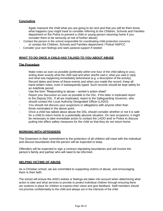#### **Concluding**

Again reassure the child what you are going to do next and that you will let them know what happens (you might have to consider referring to the Children, Schools and Families department or the Police to prevent a child or young person returning home if you consider them to be seriously at risk of further abuse)

- Contact the person in the school responsible for coordinating child protection concerns  $\Box$ or contact the Children, Schools and Families department / Police/ NSPCC
- Consider your own feelings and seek pastoral support if needed

#### **WHAT TO DO ONCE A CHILD HAS TALKED TO YOU ABOUT ABUSE**

#### **The Procedure**

Make notes as soon as possible (preferably within one hour of the child talking to you), writing down exactly what the child said and when she/he said it, what you said in reply and what was happening immediately beforehand (e.g. a description of the activity). Record dates and times of these events and when you made the record. Keep all hand written notes, even if subsequently typed. Such records should be kept safely for an indefinite period.

Use the form "Responding to abuse – worker's action sheet"

- $\overline{\phantom{a}}$ Report your discussion as soon as possible to the DSL. If the latter is implicated report to the Deputy DSL. If all are implicated, report to the Safeguarding Governor, who should contact the Local Authority Designated Officer (LADO).
- $\Box$ You should not discuss your suspicions or allegations with anyone other than those nominated in the above point.
- Once a child has talked about abuse the DSL should consider whether or not it is safe  $\Box$ for a child to return home to a potentially abusive situation. On rare occasions, it might be necessary to take immediate action to contact the LADO and/ or Police to discuss putting into effect safety measures for the child so that they do not return home.

#### **WORKING WITH OFFENDERS**

The Governors in their commitment to the protection of all children will meet with the individual and discuss boundaries that the person will be expected to keep.

Offenders will be expected to sign a contract stipulating boundaries and will involve the person's family and partner who will need to be informed.

#### **HELPING VICTIMS OF ABUSE**

As a Christian school, we are committed to supporting victims of abuse, and encouraging them in their faith.

The school will ensure the child's wishes or feelings are taken into account when determining what action to take and what services to provide to protect individual children through ensuring there are systems in place for children to express their views and give feedback. Staff members should not promise confidentiality to the child and always act in the interests of the child.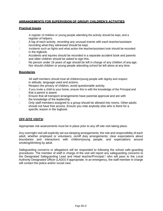#### **ARRANGEMENTS FOR SUPERVISION OF GROUP/ CHILDREN'S ACTIVITIES**

#### **Practical Issues**

A register of children or young people attending the activity should be kept, and a register of helpers.

- $\overline{\phantom{a}}$ A log of each activity, recording any unusual events with each teacher/assistant recording what they witnessed should be kept.
- Incidents such as fights and what action the teacher/assistant took should be recorded  $\overline{\phantom{a}}$ in the logbook.
- Accidents and injuries should be recorded in a separate accident book and parents  $\Box$ and older children should be asked to sign this.
- No person under 16 years of age should be left in charge of any children of any age.  $\Box$ Nor should children or young people attending school be left alone at any time.

#### **Boundaries**

All staff members should treat all children/young people with dignity and respect in attitude, language used and actions.

- Respect the privacy of children, avoid questionable activity.  $\mathbb{R}$
- $\overline{\phantom{a}}$ If you invite a child to your home, ensure this is with the knowledge of the Principal and that a parent is aware.
- Ensure that all transport arrangements have parental approval and are with  $\overline{\phantom{a}}$ the knowledge of the leadership.
- $\overline{\phantom{a}}$ Only staff members assigned to a group should be allowed into rooms. Other adults should not have free access. Ensure you note anybody else who is there for a specific reason in the logbook.

#### **OFF-SITE VISITS/**

Appropriate risk assessments must be in place prior to any off-site visit taking place.

Any overnight visit will explicitly set out sleeping arrangements; the role and responsibility of each adult, whether employed or volunteers; on/off duty arrangements; clear expectations about boundaries and interactions with children/young people; and expectations around smoking/drinking by adult.

Safeguarding concerns or allegations will be responded to following the school safe-guarding procedures. The member of staff in charge of the visit will report any safeguarding concerns to the Designated Safeguarding Lead and Head teacher/Principal,\* who will pass to the Local Authority Designated Officer (LADO) if appropriate. In an emergency, the staff member in charge will contact the police and/or social care.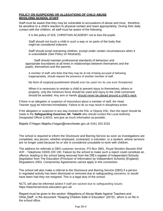#### **POLICY ON SUSPICIONS OR ALLEGATIONS OF CHILD ABUSE INVOLVING SCHOOL STAFF**

Staff must be aware that they may be vulnerable to accusations of abuse and must, therefore, be sensitive to a child's reaction to physical contact and react appropriately. During their daily contact with the children, all staff must be aware of the following:

It is the policy of SOL CHRISTIAN ACADEMY not to kiss the pupils.

Staff should not touch a child in such a way or on parts of the body that might be considered indecent.

Staff should avoid restraining children, except under certain circumstances when it is unavoidable (See Policy on Restraint).

Staff should maintain professional standards of behaviour and appropriate boundaries at all times in relationships between themselves and the pupils, themselves and the parents.

A member of staff, who feels that they may be at risk of being accused of behaving inappropriately, should request the presence of another member of staff.

No form of corporal punishment should ever be used nor its use ever threatened.

When it is necessary to restrain a child to prevent injury to themselves, others or property, only the minimum force should be used and injury to the child concerned should be avoided. Any arm or hands should never be placed around a child's neck.

If there is an allegation or suspicion of misconduct about a member of staff, the Head Teacher must be informed immediately. Failure to do so may result in disciplinary action

If the allegation or suspicion in any way involves the DSL or Deputy DSL, then the report should be made to the **Safeguarding Governor, Mr. Tabeth** who should contact the Local Authority Designated Officer (LADO) and give as much information as possible.

Majella O'Hagan Majella.o'hagan@manchester.gov.uk 0161 203 3232

The school is required to inform the Disclosure and Barring Service as soon as investigations are completed, any person, whether employed, contracted, a volunteer, or a student, whose services are no longer used because he or she is considered unsuitable to work with children.

The address for referrals is DBS customer services, PO Box 3961, Royal Wootton Bassett SN4 4HF - Telephone 03000 200 190. Failure by the school to make such a report could constitute an offence, leading to the school being removed from the DfE's register of Independent Schools (legislation from The Education (Provision of Information by Independent Schools) (England) Regulations 2003. Compromise Agreements cannot apply in this connection.

The school will also make a referral to the Disclosure and Barring Service (DBS) if a person in regulated activity has been dismissed or removed due to safeguarding concerns, or would have been had they not resigned. This is a legal duty of the school.

NCTL will also be informed added if staff are sacked due to safeguarding issues https://teacherservices.education.gov.uk/

Regard must be given to the section 'Allegations of Abuse Made Against Teachers and Other Staff', in the document ''Keeping Children Safe in Education' (2019)', which is on file in the school office.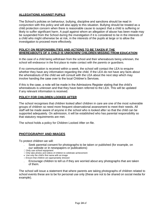#### **ALLEGATIONS AGAINST PUPILS**

The School's policies on behaviour, bullying, discipline and sanctions should be read in conjunction with this policy and will also apply to this situation. Bullying should be treated as a child protection concern when there is reasonable cause to suspect that a child is suffering or likely to suffer significant harm. A pupil against whom an allegation of abuse has been made may be suspended from the School during the investigation if it is considered to be in the interests of a child who might otherwise be at risk, in the interests of the pupils at large or to allow the investigation to proceed more effectively.

#### **POLICY ON RESPONSIBILITIES AND ACTIONS TO BE TAKEN IF THE WHEREABOUTS OF A CHILD IS UNKNOWN/ CHILDREN MISSING FROM EDUCATION**

In the case of a child being withdrawn from the school and their whereabouts being unknown, the school will endeavour in the first place to make contact with the parents or guardians.

If no communication is received within a week, the school will contact the LEA to enquire whether they have any information regarding the child. If the LEA do not have any facts about the whereabouts of the child we will consult with the LEA about the next step which may involve handing the case over to the local Children's Services.

If this is the case, a note will be made in the Admissions Register stating that the child's whereabouts is unknown and that they have been referred to the LEA. This will be updated if any relevant information is received.

#### **POLICY FOR CHILDREN LOOKED AFTER**

The school recognises that children looked after/ children in care are one of the most vulnerable groups of children so need more frequent observational assessment to meet their needs. All staff will be made aware of anyone in the school who is looked after so that the child can be supported adequately. On admission, it will be established who has parental responsibility so that statutory requirements are met.

The school holds a policy for Children Looked After on file.

#### **PHOTOGRAPHY AND IMAGES**

To protect children we will:

- Seek parental consent for photographs to be taken or published (for example, on our website or in newspapers or publications)
- □ Only use school equipment
- Only take photos and videos of children to celebrate achievement
- Use only the child's first name with an image
- Ensure that children are appropriately dressed
- Encourage children to tell us if they are worried about any photographs that are taken of them.

The school will issue a statement that where parents are taking photographs of children related to school events these are to be for personal use only (these are not to be shared on social media for example).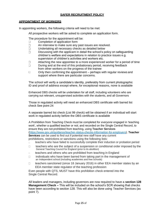#### **SAFER RECRUITMENT POLICY**

#### **APPOINTMENT OF WORKERS**

In appointing workers, the following criteria will need to be met:

All prospective workers will be asked to complete an application form.

The procedure for the appointment will be:

- Completion of application form  $\Box$
- $\Box$ An interview to make sure any past issues are resolved.
- Undertaking all necessary checks as detailed below  $\Box$
- Discussing with the applicant in detail the school's policy on safeguarding  $\Box$ children's welfare and expectations in relation to practice issues e.g. supervision of children's activities and workers etc.
- $\Box$ Attaching the new appointee to a more experienced worker for a period of time
- During and at the end of this probationary period, receiving feedback  $\Box$ from other workers on the progress of the trainee
- Only then confirming the appointment perhaps with regular reviews and  $\Box$ support where there are particular concerns.

The school will verify a candidate's identity, preferably from current photographic ID and proof of address except where, for exceptional reasons, none is available

Enhanced DBS checks will be undertaken for all staff, including volunteers who are carrying out relevant, unsupervised activities with the students, and all Governors

Those in regulated activity will need an enhanced DBS certificate with barred list check See point 24

A separate barred list check (List 99 check) will be obtained if an individual will start work in regulated activity before the DBS certificate is available

A Prohibition from Teaching Check must be completed for *everyone* engaged in 'teaching work', whether a qualified teacher or not; and recorded on the Single Central Record, to ensure they are not prohibited from teaching, using **Teacher Services**  [\(https://www.gov.uk/guidance/teacher-status-checks-information-for-employers\).](http://safeguardinginschools.us12.list-manage.com/track/click?u=efe032677d94ceba51dd39a7f&amp%3Bid=ab7ba2b6a9&amp%3Be=ae4a4a9a37) **[Teacher](http://safeguardinginschools.us12.list-manage1.com/track/click?u=efe032677d94ceba51dd39a7f&amp%3Bid=93204934b3&amp%3Be=ae4a4a9a37) [Services](http://safeguardinginschools.us12.list-manage1.com/track/click?u=efe032677d94ceba51dd39a7f&amp%3Bid=93204934b3&amp%3Be=ae4a4a9a37)** can be used to find out if potential new staff have any current prohibitions, restrictions or sanctions using the following lists:

- teachers who have failed to successfully complete their induction or probation period  $\Box$
- teachers who are the subject of a suspension or conditional order imposed by the  $\Box$ General Teaching Council for England (prior to its abolition)
- teachers and others who are prohibited from teaching in England  $\Box$
- $\Box$ individuals who have been barred from taking part in the management of an Independent school (including academies and free schools)
- teachers sanctioned (since 18 January 2016) in other EEA member states by an  $\Box$ EEA member state regulator of the teaching profession

Even people with QTS, MUST have this prohibition check entered into the Single Central Record.

All leaders and managers, including governors are now required to have a **section 128 Management Check –** This will be included on the school's SCR showing that checks have been according to section 128. This will also be done using Teacher Services (as point 7).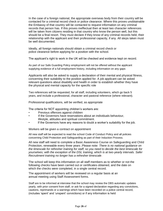In the case of a foreign national, the appropriate overseas body from their country will be contacted for a criminal record check or police clearance. Where this proves unobtainable the Embassy of that country will be contacted to request information on any criminal records that person has. If this proves ineffectual then at least two character references will be taken from citizens residing in that country who know the person well, but this should be a final resort. They must declare if they know of any criminal records held, their relationship with the applicant and their professional capacity, if any. All steps taken must be well documented.

Ideally, all foreign nationals should obtain a criminal record check or police clearance before applying for a position with the school.

The applicant's right to work in the UK will be checked and evidence kept on record.

As part of our Safe Guarding Policy employment will not be offered without the applicant supplying evidence of a full employment history, including information on any gaps

Applicants will also be asked to supply a declaration of their mental and physical fitness, concerning their suitability to the position applied for. A job applicant can be asked relevant questions about disability and health in order to establish whether they have the physical and mental capacity for the specific role

Two references will be requested, for all staff, including volunteers, which go back 5 years, and include a professional, character and pastoral reference (where relevant).

Professional qualifications, will be verified, as appropriate

The criteria for NOT appointing children's workers are:

- Previous offences against children
- If the Governors have reservations about an individuals behaviour, lifestyle, attitudes and spiritual commitment.
- If the Governors have any reasons to doubt a worker's suitability for the job.

Workers will be given a contract on appointment

All new staff will be expected to read the school Code of Conduct Policy and all policies concerning Child Protection and Safeguarding as part of their Induction Process.

All new staff will need to complete a Basic Awareness Course on Safeguarding and Child Protection, renewable every three years .Please note: *There is no national guidance on the timescale for refresher training for staff, so you need to decide the best timescale for yourselves; with the exception of the DSL training, which is at two-yearly intervals. Safer Recruitment training no longer has a refresher timescale.*

The school will keep this information on all staff members as to whether or not the following checks have been carried out or certificates obtained, and the date on which the checks were completed, in a single central record.

The appointment of workers will be reviewed on a regular basis at an annual meeting using Staff Assessment forms.

Staff are to be informed at interview that the school may review the DBS automatic updates yearly, with prior consent from staff, or ask for a signed declaration regarding any convictions, cautions, reprimands or a warnings which have been recorded on a police central record, (includes 'spent' and 'unspent' convictions) or if any information is held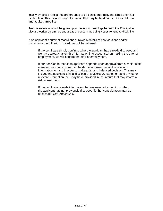locally by police forces that are grounds to be considered relevant, since their last declaration. This includes any information that may be held on the DBS's children and adults barred list.

Teachers/assistants will be given opportunities to meet together with the Principal to discuss work programmes and areas of concern including issues relating to discipline

If an applicant's criminal record check reveals details of past cautions and/or convictions the following procedures will be followed:

If the certificate simply confirms what the applicant has already disclosed and we have already taken this information into account when making the offer of employment, we will confirm the offer of employment.

If our decision to recruit an applicant depends upon approval from a senior staff member, we shall ensure that the decision maker has all the relevant information to hand in order to make a fair and balanced decision. This may include the applicant's initial disclosure, a disclosure statement and any other relevant information they may have provided in the interim that may inform a risk assessment.

If the certificate reveals information that we were not expecting or that the applicant had not previously disclosed, further consideration may be necessary. *See Appendix 5*.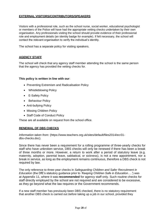#### **EXTERNAL VISITORS/CONTRIBUTORS/SPEAKERS**

Visitors with a professional role, such as the school nurse, social worker, educational psychologist or members of the Police will have had the appropriate vetting checks undertaken by their own organisation. Any professionals visiting the school should provide evidence of their professional role and employment details (an identity badge for example). If felt necessary, the school will contact the relevant organisation to verify the individual's identity.

The school has a separate policy for visiting speakers.

#### **AGENCY STAFF**

The school will check that any agency staff member attending the school is the same person that the agency has provided the vetting checks for.

#### **This policy is written in line with our**:

- Preventing Extremism and Radicalisation Policy
- Whistleblowing Policy
- E-Safety Policy
- Behaviour Policy
- Anti-bullying Policy
- Missing Children Policy
- Staff Code of Conduct Policy

These are all available on request from the school office.

#### **RENEWAL OF DBS CHECKS**

*Information taken from:* [\(https://www.teachers.org.uk/sites/default/files2014/ecr31](http://www.teachers.org.uk/sites/default/files2014/ecr31-dbs-) [dbs-c](http://www.teachers.org.uk/sites/default/files2014/ecr31-dbs-)hecks.doc).

Since there has never been a requirement for a rolling programme of three-yearly checks for staff who have unbroken service, DBS checks will only be renewed if there has been a break of three months or more. However, a return to work after a period of statutory leave (e.g. maternity, adoption, parental leave, sabbatical, or sickness), is not a new appointment, nor a break in service, as long as the employment remains continuous, therefore a DBS check is not required by law.

The only reference to three-year checks in *Safeguarding Children and Safer Recruitment in Education* (the DfE's statutory guidance prior to *'Keeping Children Safe in Education….'*) was at Appendix 11, where it was **recommended** for agency staff only. Such routine checks for staff directly employed by the school are not required and are considered to be excessive, as they go beyond what the law requires or the Government recommends.

If a new staff member has previously been DBS checked, there is no statutory requirement that another DBS check is carried out *before* taking up a job in our school, provided they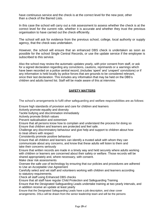have continuous service and the check is at the correct level for the new post, other than a check of the Barred Lists.

In this case the school will carry out a risk assessment to assess whether the check is at the correct level for the current role, whether it is accurate and whether they trust the previous organisation to have carried out the check efficiently.

The school will ask for evidence from the previous school, college, local authority or supply agency, that the check was undertaken.

However, the school will ensure that an enhanced DBS check is undertaken as soon as possible for the school Single Central Records, or use the update service if the employee is subscribed to this service.

Also the school may review the automatic updates yearly, with prior consent from staff, or ask for a signed declaration regarding any convictions, cautions, reprimands or a warnings which have been recorded on a police central record, (includes 'spent' and 'unspent' convictions) or if any information is held locally by police forces that are grounds to be considered relevant, since their last declaration. This includes any information that may be held on the DBS's children and adults barred list. Staff will be made aware of this at interview.

#### **SAFETY MATTERS**

The school's arrangements to fulfil other safeguarding and welfare responsibilities are as follows:

Ensure high standards of provision and care for children and learners

Actively promote equality and diversity

Tackle bullying and discrimination immediately

Actively promote British values

Prevent radicalisation and extremism

Ensure that all persons know how to complain and understand the process for doing so Ensure that children and learners are protected and feel safe.

Challenge any discriminatory behaviour and give help and support to children about how to treat others with respect

Consistently promote positive behaviour

Ensure that all children and learners can identify a trusted adult with whom they can communicate about any concerns, and know that these adults will listen to them and take their concerns seriously

Ensure that written records are made in a timely way and held securely where adults working with children or learners are concerned about their safety or welfare. Those records will be shared appropriately and, where necessary, with consent.

Make clear risk assessments

Oversee the safe use of technology by ensuring that our policies and procedures are adhered to Use an Acceptable Use Agreement

Carefully select and vet staff and volunteers working with children and learners according to statutory requirements.

Check all staff using Enhanced DBS checks

Ensure that all staff have regular Child Protection and Safeguarding Training

Ensure that the Designated Safeguarding Leads undertake training at two-yearly intervals, and in addition receive an update at least yearly

Ensure that the Designated Safeguarding Leads have a job description, and clear cover arrangements. DSLs will be drawn from the senior leadership team and will be the persons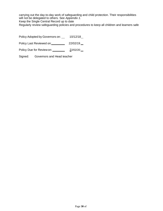carrying out the day-to-day work of safeguarding and child protection. Their responsibilities will not be delegated to others. See *Appendix 1.*

Keep the Single Central Record up to date

Regularly review safeguarding policies and procedures to keep all children and learners safe

Policy Adopted by Governors on: 10/12/18

Policy Last Reviewed on: 22/02/19

Policy Due for Reviewon: 22/02/20

Signed: Governors and Head teacher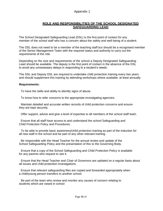#### Appendix 1

#### **ROLE AND RESPONSIBILITIES OF THE SCHOOL DESIGNATED SAFEGUARDING LEAD**

The School Designated Safeguarding Lead (DSL) is the first point of contact for any member of the school staff who has a concern about the safety and well-being of a student.

The DSL does not need to be a member of the teaching staff but should be a recognised member of the Senior Management Team with the required status and authority to carry out the requirements of the role.

Depending on the size and requirements of the school a Deputy Designated Safeguarding Lead should be available. The deputy is the first point of contact in the absence of the DSL to avoid any unnecessary delays in responding to a student's needs.

The DSL and Deputy DSL are required to undertake child protection training every two years and should supplement this training by attending workshops where available, at least annually.

#### **Requirements:**

To have the skills and ability to identify signs of abuse.

To know how to refer concerns to the appropriate investigating agencies.

Maintain detailed and accurate written records of child protection concerns and ensure they are kept securely.

Offer support, advice and give a level of expertise to all members of the school staff team.

Ensure that all staff have access to and understand the school Safeguarding and Child Protection Policy and Procedures.

To be able to provide basic awareness/child protection training as part of the induction for all new staff in the school and be part of any other relevant training.

Be responsible with the Head Teacher for the annual review and update of the School Safeguarding Policy and the presentation of this to the Governing Body.

Ensure that a copy of the School Safeguarding and Child Protection Policy is available for any parents who request to see it.

Ensure that the Head Teacher and Chair of Governors are updated on a regular basis about all issues and child protection investigations.

Ensure that relevant safeguarding files are copied and forwarded appropriately when a child/young person transfers to another school.

Be part of the team who review and monitor any causes of concern relating to students which are raised in school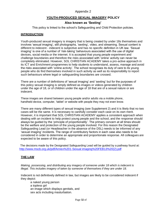#### Appendix 2

#### **YOUTH-PRODUCED SEXUAL IMAGERY POLICY**

#### **Also known as 'Sexting'**

This policy is linked to the school's Safeguarding and Child Protection policies.

#### **INTRODUCTION**

Youth-produced sexual imagery is imagery that is being created by under 18s themselves and involves 'sexual imaging', still photographs, 'sexting', video, and streaming. Sexual content is different to indecent - indecent is subjective and has no specific definition in UK law. 'Sexual imaging' is one of a number of 'risk-taking' behaviours associated with the use of digital devices, social media or the internet. It is accepted that young people experiment and challenge boundaries and therefore the risks associated with 'online' activity can never be completely eliminated. However, SOL CHRISTIAN ACADEMY takes a pro-active approach in its ICT and Enrichment programmes to help students to understand, assess, manage and avoid the risks associated with 'online activity'. The school recognises its duty of care to its young people who do find themselves involved in such activity as well as its responsibility to report such behaviours where legal or safeguarding boundaries are crossed.

There are a number of definitions of 'sexual imaging' and 'sexting' but for the purposes of this policy sexual imaging is simply defined as images or videos generated by children under the age of 18, or of children under the age of 18 that are of a sexual nature or are indecent.

These images are shared between young people and/or adults via a mobile phone, handheld device, computer, 'tablet' or website with people they may not even know.

There are many different types of sexual imaging (see Supplement 2) and it is likely that no two cases will be the same. It is necessary to carefully consider each case on its own merit. However, it is important that SOL CHRISTIAN ACADEMY applies a consistent approach when dealing with an incident to help protect young people and the school, and the response should always be guided by the 'principle of proportionality'. The primary concern at all times should be the welfare and protection of the young people involved. For this reason the Designated Safeguarding Lead (or Headteacher in the absence of the DSL) needs to be informed of any 'sexual imaging' incidents. The range of contributory factors in each case also needs to be considered in order to determine an appropriate and proportionate response. All colleagues are expected to be aware of this policy.

The decisions made by the Designated Safeguarding Lead will be guided by a pathway found at: [http://www.mscb.org.uk/pdf/Annex%201-Sexual imaging%20FEB13%20\(2\).pdf](http://www.mscb.org.uk/pdf/Annex%201-Sexting%20FEB13%20(2).pdf)

#### **THE LAW**

*Making, possessing, and distributing any imagery of someone under 18 which is indecent is illegal. This includes imagery of taken by someone of themselves if they are under 18.*

Indecent is not definitively defined in law, but images are likely to be considered indecent if they depict:

a naked young person a topless girl an image which displays genitals, and sex acts including masturbation.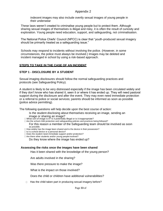#### Appendix 2

indecent images may also include overtly sexual images of young people in their underwear

These laws weren't created to criminalise young people but to protect them. Although sharing sexual images of themselves is illegal and risky, it is often the result of curiosity and exploration. Young people need education, support, and safeguarding, not criminalisation.

The National Police Chiefs' Council (NPCC) is clear that "youth-produced sexual imagery should be primarily treated as a safeguarding issue."

Schools may respond to incidents without involving the police. (However, in some circumstances, the police must always be involved.) Images may be deleted and incident managed in school by using a risk-based approach.

#### **STEPS TO TAKE IN THE CASE OF AN INCIDENT**

#### **STEP 1 - DISCLOSURE BY A STUDENT**

Sexual imaging disclosures should follow the normal safeguarding practices and protocols (see Safeguarding Policy).

A student is likely to be very distressed especially if the image has been circulated widely and if they don't know who has shared it, seen it or where it has ended up. They will need pastoral support during the disclosure and after the event. They may even need immediate protection or a referral to police or social services; parents should be informed as soon as possible (police advice permitting).

The following questions will help decide upon the best course of action:

- Is the student disclosing about themselves receiving an image, sending an image or sharing an image?
- □ What sort of image is it? Is it potentially illegal or is it inappropriate?
- □ Are the school child protection and safeguarding policies and practices being followed? For this reason a member of the Safeguarding team should be involved as soon as possible.
- $\Box$  How widely has the image been shared and is the device in their possession?
- $\Box$  Is it a school device or a personal device?
- □ Does the student need immediate support and/or protection?
- Are there other students and/or young people involved?
	- Do they know where the image has ended up?

#### **Assessing the risks once the images have been shared**

Has it been shared with the knowledge of the young person?

Are adults involved in the sharing?

Was there pressure to make the image?

What is the impact on those involved?

Does the child or children have additional vulnerabilities?

Has the child taken part in producing sexual imagery before?  $\Box$ 

Page **33** of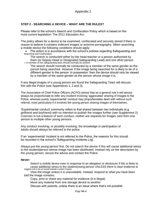#### **STEP 2 - SEARCHING A DEVICE – WHAT ARE THE RULES?**

Please refer to the school's Search and Confiscation Policy which is based on the most current legislation: The 2011 Education Act.

The policy allows for a device to be examined, confiscated and securely stored if there is reason to believe it contains indecent images or extreme pornography. When searching a mobile device the following conditions should apply:

• The action is in accordance with the school's policies regarding Safeguarding and Searching and Confiscation.

The search is conducted either by the head teacher or a person authorised by them (or Deputy Head or Designated Safeguarding Lead) and one other person  $\Box$  A member of the safeguarding team should normally be present

The search should normally be conducted by a member of the same gender as the person being searched. However if the image being searched for is likely to be of a different gender to the person 'in possession' then the device should only be viewed by a member of the same gender as the person whose image it is.

If any illegal images of a young person are found the Safeguarding Team will discuss this with the Police (see Appendices 1, 2 and 3).

The Association of Chief Police Officers (ACPO) advise that as a general rule it will almost always be proportionate to refer any incident involving 'aggravated' sharing of images to the Police, whereas purely 'experimental' conduct may proportionately dealt with without such referral, most particularly if it involves the young person sharing images of themselves.

'Experimental conduct' commonly refers to that shared between two individuals (e.g. girlfriend and boyfriend) with no intention to publish the images further (see Supplement 2). Coercion is not a feature of such conduct, neither are requests for images sent from one person to multiple other young persons.

Any conduct involving, or possibly involving, the knowledge or participation of adults should always be referred to the police.

If an 'experimental' incident is not referred to the Police, the reasons for this should be recorded in the school's 'Safeguarding Incidents Log'.

Always put the young person first. Do not search the device if this will cause additional stress to the student/person whose image has been distributed. Instead rely on the description by the young person, secure the advice and contact the Police.

#### *Never:*

Search a mobile device even in response to an allegation or disclosure if this is likely to cause additional stress to the student/young person UNLESS there is clear evidence to suggest not to do so would impede a police inquiry.

View the image unless it is unavoidable. Instead, respond to what you have been told the image contains.

Copy, print or share any material for evidence (it is illegal)

Move any material from one storage device to another

Discuss with parents, unless there is an issue where that's not possible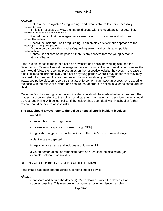#### *Always:*

Refer to the Designated Safeguarding Lead, who is able to take any necessary strategic decisions.

If it is felt necessary to view the image, discuss with the Headteacher or DSL first, and view with another member of staff present

Record the fact that the images were viewed along with reasons and who was present. Sign and date.

Record the incident. The Safeguarding Team employ a systematic approach to the recording of all safeguarding issues

Act in accordance with school safeguarding search and confiscation policies and procedures

Contact social care or the police if there is any concern that the young person is at risk of harm

If there is an indecent image of a child on a website or a social networking site then the Safeguarding Team will report the image to the site hosting it. Under normal circumstances the team would follow the reporting procedures on the respective website; however, in the case of a sexual imaging incident involving a child or young person where it may be felt that they may be at risk of abuse then the team will report the incident directly to CEOP:

[www.ceop.police.uk/ceop-report, s](http://www.ceop.police.uk/ceop-report)o that law enforcement can make an assessment, expedite the case with the relevant provider and ensure that appropriate action is taken to safeguard the child.

Once the DSL has enough information, the decision should be made whether to deal with the matter in school or refer it to the police/social care. All information and decision-making should be recorded in line with school policy. If the incident has been dealt with in school, a further review should be held to assess risks.

#### **The DSL should always refer to the police or social care if incident involves:**

an adult

coercion, blackmail, or grooming

concerns about capacity to consent, [e.g., SEN]

images show atypical sexual behaviour for the child's developmental stage

violent acts are depicted

image shows sex acts and includes a child under 13

a young person at risk of immediate harm as a result of the disclosure (for example, self-harm or suicide)

#### **STEP 3 - WHAT TO DO AND NOT DO WITH THE IMAGE**

If the image has been shared across a personal mobile device:

#### *Always*

Confiscate and secure the device(s). Close down or switch the device off as soon as possible. This may prevent anyone removing evidence 'remotely'.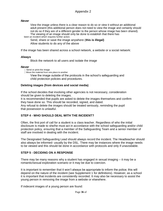#### *Never*

View the image unless there is a clear reason to do so or view it without an additional adult present (this additional person does not need to view the image and certainly should not do so if they are of a different gender to the person whose image has been shared). The viewing of an image should only be done to establish that there has

been an incident which requires further action. Send, share or save the image anywhere (**this is illegal)**

Allow students to do any of the above

If the image has been shared across a school network, a website or a social network:

#### *Always*

Block the network to all users and isolate the image

#### *Never*

- $\square$  Send or print the image
- $\Box$  Move the material from one place to another

View the image outside of the protocols in the school's safeguarding and child protection policies and procedures.

#### **Deleting images (from devices and social media)**

If the school decides that involving other agencies is not necessary, consideration should be given to deleting the images.

It is recommended that pupils are asked to delete the images themselves and confirm they have done so. This should be recorded, signed, and dated.

Any refusal to delete the images should be treated seriously, reminding the pupil that possession is unlawful.

#### **STEP 4 - WHO SHOULD DEAL WITH THE INCIDENT?**

Often, the first port of call for a student is a class teacher. Regardless of who the initial disclosure is made to she/he must act in accordance with the school safeguarding and/or child protection policy, ensuring that a member of the Safeguarding Team and a senior member of staff are involved in dealing with the incident.

The Designated Safeguarding Lead should always record the incident. The Headteacher should also always be informed- usually by the DSL. There may be instances where the image needs to be viewed and this should be done in accordance with protocols and only if unavoidable.

#### **STEP 5 - DECIDING ON A RESPONSE**

There may be many reasons why a student has engaged in sexual imaging – it may be a romantic/sexual exploration scenario or it may be due to coercion.

It is important to remember that it won't always be appropriate to inform the police; this will depend on the nature of the incident (see Supplement 1 for definitions). However, as a school it is important that incidents are consistently recorded. It may also be necessary to assist the young person in removing the image from a website or elsewhere.

If indecent images of a young person are found: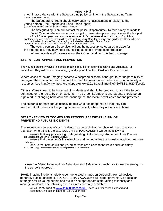$\Box$  Act in accordance with the Safeguarding policy i.e. inform the Safeguarding Team □ Store the device securely

The Safeguarding Team should carry out a risk assessment in relation to the young person (Use Appendices 2 and 3 for support)

The Safeguarding Team will make a referral if needed

The Safeguarding Team will contact the police (if appropriate). Referrals may be made to Social Care but where a crime may thought to have taken place the police are the first port of call. Young persons who have engaged in 'experimental sexual imaging' which is

contained between two persons will be referred to Social Care for support and guidance. Those who are felt to be victims of 'sexual imaging' will also be referred to Social Care at a point where the police feel that this will not impede an investigation.

The young person's Supervisor will put the necessary safeguards in place for the student, e.g. they may need counselling support or immediate protection.

Inform parents and/or carers about the incident and how it is being managed.

#### **STEP 6 - CONTAINMENT AND PREVENTION**

The young persons involved in 'sexual imaging' may be left feeling sensitive and vulnerable for some time. They will require monitoring by and support from their Guidance/Pastoral teams.

Where cases of 'sexual imaging' become widespread or there is thought to be the possibility of contagion then the school will reinforce the need for safer 'online' behaviour using a variety of resources (see [http://www.mscb.org.uk/pdf/Annex%201-Sexual im](http://www.mscb.org.uk/pdf/Annex%201-Sexual)aging%20FEB13%20(2).pdf).

Other staff may need to be informed of incidents and should be prepared to act if the issue is continued or referred to by other students. The school, its students and parents should be on high alert, challenging behaviour and ensuring that the victim is well cared for and protected.

The students' parents should usually be told what has happened so that they can keep a watchful eye over the young person especially when they are online at home.

#### **STEP 7 - REVIEW OUTCOMES AND PROCEDURES WITH THE AIM OF PREVENTING FUTURE INCIDENTS**

The frequency or severity of such incidents may be such that the school will need to review its approach. Where this is the case SOL CHRISTIAN ACADEMY will do the following:

ensure that key policies e.g. Safeguarding, Anti- Bullying, Authorised User Policies are still relevant and can meet emerging issues.

ensure that the school's infrastructure and technologies are robust enough to meet new challenges.

ensure that both adults and young persons are alerted to the issues such as safety mechanisms, support mechanisms and the legal implications of such behaviour.

• use the Ofsted framework for Behaviour and Safety as a benchmark to test the strength of the school's approach.

Sexual imaging incidents relate to self-generated images on personally-owned devices, generally outside of school. SOL CHRISTIAN ACADEMY will adopt preventative education strategies for its young people and put in place appropriate staff training to identify and manage incidents. The following are resources currently available:

CEOP resources at [www.thinkuknow.co.uk.](http://www.thinkuknow.co.uk/) There is a film called Exposed and accompanying lesson plans for 11-16 year olds.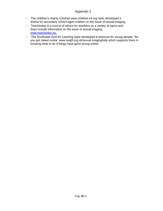- $\Box$  The children's charity Childnet [www.childnet-int.org h](http://www.childnet-int.org/)ave developed a drama for secondary school-aged children on the issue of sexual imaging.
- $\Box$  Teachtoday is a source of advice for teachers on a variety of topics and does include information on the issue of sexual imaging [www.teachtoday.eu.](http://www.teachtoday.eu/)
- $\Box$  The Southwest Grid for Learning have developed a resource for young people: 'So you got naked online' [www.swgfl.org.uk/sexual im](http://www.swgfl.org.uk/sexual)aginghelp which supports them in knowing what to do if things have gone wrong online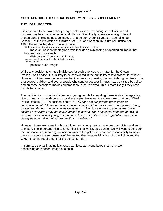#### **YOUTH-PRODUCED SEXUAL IMAGERY POLICY - SUPPLEMENT 1**

#### **THE LEGAL POSITION**

It is important to be aware that young people involved in sharing sexual videos and pictures may be committing a criminal offence. Specifically, crimes involving indecent photographs (including pseudo images) of a person under 18 years of age fall under Section 1 of the Protection of Children Act 1978 and Section 160 Criminal Justice Act 1988. Under this legislation it is a crime to:

 $\Box$  take an indecent photograph or allow an indecent photograph to be taken;

make an indecent photograph (this includes downloading or opening an image that has been sent via email);

distribute or show such an image;

 $\square$  possess with the intention of distributing images;

advertise; and

possess such images

While any decision to charge individuals for such offences is a matter for the Crown Prosecution Service, it is unlikely to be considered in the public interest to prosecute children. However, children need to be aware that they may be breaking the law. Although unlikely to be prosecuted, children and young people who send or possess images may be visited by police and on some occasions media equipment could be removed. This is more likely if they have distributed images.

The decision to criminalise children and young people for sending these kinds of images is a little unclear and may depend on local strategies. However, the current Association of Chief Police Officers (ACPO) position is that: *'ACPO does not support the prosecution or criminalisation of children for taking indecent images of themselves and sharing them. Being prosecuted through the criminal justice system is likely to be upsetting and distressing for children especially if they are convicted and punished. The label of sex offender that would*  be applied to a child or young person convicted of such offences is regrettable, unjust and *clearly detrimental to their future health and wellbeing.'*

However, there are cases in which children and young people have been convicted and sent to prison. The important thing to remember is that whilst, as a school, we will want to consider the implications of reporting an incident over to the police, it is not our responsibility to make decisions about the seriousness of the matter; that responsibility lies with the Police and the CPS hence the requirement for the school to refer.

In summary sexual imaging is classed as illegal as it constitutes sharing and/or possessing an indecent image of a child.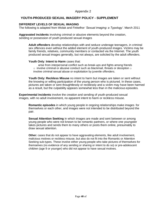#### **YOUTH-PRODUCED SEXUAL IMAGERY POLICY - SUPPLEMENT**

#### **40 DIFFERENT LEVELS OF SEXUAL IMAGING**

The following is adapted from Wolak and Finkelhor *'Sexual imaging: a Typology'.* March 2011

**Aggravated incidents** involving criminal or abusive elements beyond the creation, sending or possession of youth-produced sexual images

**Adult offenders** develop relationships with and seduce underage teenagers, in criminal sex offences even without the added element of youth-produced images. Victims may be family friends, relatives, community members or contacted via the Internet. The youth produced sexual images generally, but not always, are solicited by the adult offenders.

#### **Youth Only**: **Intent to Harm** cases that:

arise from interpersonal conflict such as break-ups and fights among friends  $\circ$  involve criminal or abusive conduct such as blackmail, threats or deception  $\circ$ involve criminal sexual abuse or exploitation by juvenile offenders.

**Youth Only: Reckless Misuse** no intent to harm but images are taken or sent without the knowing or willing participation of the young person who is pictured. In these cases, pictures are taken or sent thoughtlessly or recklessly and a victim may have been harmed as a result, but the culpability appears somewhat less than in the malicious episodes.

**Experimental incidents** involve the creation and sending of youth-produced sexual images, with no adult involvement, no apparent intent to harm or reckless misuse.

**Romantic episodes** in which young people in ongoing relationships make images for themselves or each other, and images were not intended to be distributed beyond the pair.

**Sexual Attention Seeking** in which images are made and sent between or among young people who were not known to be romantic partners, or where one youngster takes pictures and sends them to many others or posts them online, presumably to draw sexual attention.

**Other:** cases that do not appear to have aggravating elements, like adult involvement, malicious motives or reckless misuse, but also do not fit into the Romantic or Attention Seeking sub-types. These involve either young people who take pictures of themselves for themselves (no evidence of any sending or sharing or intent to do so) or pre-adolescent children (age 9 or younger) who did not appear to have sexual motives.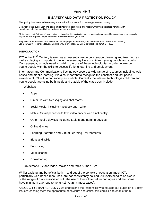### **E-SAFETY AND DATA PROTECTION POLICY**

This policy has been written using information from *Herts for Learning* © Herts for Learning

Copyright of this publication and copyright of individual documents and media within this publication remains with the original publishers and is intended only for use in schools.

All rights reserved. Extracts of the materials contained on this publication may be used and reproduced for educational purpo ses only. Any other use requires the permission of the relevant copyright holder.

Requests for permissions, with a statement of the purpose and extent, should be addressed to Herts for Learning Ltd, SROB210, Robertson House, Six Hills Way, Stevenage, SG1 2FQ or telephone 01438 844893.

#### **INTRODUCTION**

ICT in the 21<sup>st</sup> Century is seen as an essential resource to support learning and teaching, as well as playing an important role in the everyday lives of children, young people and adults. Consequently, schools need to build in the use of these technologies in order to arm our young people with the skills to access life-long learning and employment.

Information and Communications Technology covers a wide range of resources including; webbased and mobile learning. It is also important to recognise the constant and fast paced evolution of ICT within our society as a whole. Currently the internet technologies children and young people are using both inside and outside of the classroom include:

**Websites** 

- Apps
- E-mail, Instant Messaging and chat rooms
- Social Media, including Facebook and Twitter
- Mobile/ Smart phones with text, video and/ or web functionality
- Other mobile devices including tablets and gaming devices
- Online Games
- Learning Platforms and Virtual Learning Environments
- Blogs and Wikis
- **Podcasting**
- Video sharing
- Downloading

On demand TV and video, movies and radio / Smart TVs

Whilst exciting and beneficial both in and out of the context of education, much ICT, particularly web-based resources, are not consistently policed. All users need to be aware of the range of risks associated with the use of these Internet technologies and that some have minimum age requirements (13 years in most cases).

At SOL CHRISTIAN ACADEMY *,* we understand the responsibility to educate our pupils on e-Safety Issues; teaching them the appropriate behaviours and critical thinking skills to enable them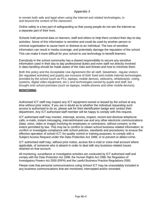to remain both safe and legal when using the internet and related technologies, in and beyond the context of the classroom.

Online safety is a key part of safeguarding so that young people do not see the internet as a separate part of their lives.

Schools hold personal data on learners, staff and others to help them conduct their day-to-day activities. Some of this information is sensitive and could be used by another person or criminal organisation to cause harm or distress to an individual. The loss of sensitive information can result in media coverage, and potentially damage the reputation of the school. This can make it more difficult for your school to use technology to benefit learners.

Everybody in the school community has a shared responsibility to secure any sensitive information used in their day to day professional duties and even staff not directly involved in data handling should be made aware of the risks and threats and how to minimise them.

Both this policy and the Acceptable Use Agreement (for all staff, Governors , regular visitors [for regulated activities] and pupils) are inclusive of both fixed and mobile internet;technologies provided by the school (such as PCs, laptops, mobile devices, webcams, whiteboards, voting systems, digital video equipment, etc.); and technologies owned by pupils and staff, but brought onto school premises (such as laptops, mobile phones and other mobile devices).

#### **MONITORING**

Authorised ICT staff may inspect any ICT equipment owned or leased by the school at any time without prior notice. If you are in doubt as to whether the individual requesting such access is authorised to do so, please ask for their identification badge and contact their department. Any ICT authorised staff member will be happy to comply with this request.

ICT authorised staff may monitor, intercept, access, inspect, record and disclose telephone calls, e-mails, instant messaging, internet/intranet use and any other electronic communications (data, voice, video or image) involving its employees or contractors, without consent, to the extent permitted by law. This may be to confirm or obtain school business related information; to confirm or investigate compliance with school policies, standards and procedures; to ensure the effective operation of school ICT; for quality control or training purposes; to comply with a Subject Access Request under the Data Protection Act 1998, or to prevent or detect crime.

ICT authorised staff may, without prior notice, access the e-mail or voice-mail account where applicable, of someone who is absent in order to deal with any business-related issues retained on that account.

All monitoring, surveillance or investigative activities are conducted by ICT authorised staff and comply with the Data Protection Act 1998, the Human Rights Act 1998, the Regulation of Investigatory Powers Act 2000 (RIPA) and the Lawful Business Practice Regulations 2000.

Please note that personal communications using School ICT may be unavoidably included in any business communications that are monitored, intercepted and/or recorded.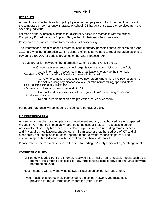#### **BREACHES**

A breach or suspected breach of policy by a school employee, contractor or pupil may result in the temporary or permanent withdrawal of school ICT hardware, software or services from the offending individual.

For staff any policy breach is grounds for disciplinary action in accordance with the school Disciplinary Procedure or, for Support Staff, in their Probationary Period as stated.

Policy breaches may also lead to criminal or civil proceedings.

The Information Commissioner's powers to issue monetary penalties came into force on 6 April 2010, allowing the Information Commissioner's office to serve notices requiring organisations to pay up to £500,000 for serious breaches of the Data Protection Act.

The data protection powers of the Information Commissioner's Office are to:

• Conduct assessments to check organisations are complying with the Act;

Serve information notices requiring organisations to provide the Information Commissioner's Office with specified information within a certain time period;

Serve enforcement notices and 'stop now' orders where there has been a breach of the Act, requiring organisations to take (or refrain from taking) specified steps in order to ensure they comply with the law;

• Prosecute those who commit criminal offences under the Act;

Conduct audits to assess whether organisations' processing of personal data follows good practice,

Report to Parliament on data protection issues of concern

For pupils, reference will be made to the school's behaviour policy.

#### **INCIDENT REPORTING**

Any security breaches or attempts, loss of equipment and any unauthorised use or suspected misuse of ICT must be immediately reported to the school's relevant responsible person. Additionally, all security breaches, lost/stolen equipment or data (including remote access ID and PINs), virus notifications, unsolicited emails, misuse or unauthorised use of ICT and all other policy non-compliance must be reported to the relevant responsible person. The relevant responsible individuals in the school are as follows: Mr. Tabeth

Please refer to the relevant section on Incident Reporting, e-Safety Incident Log & Infringements.

#### **COMPUTER VIRUSES**

All files downloaded from the Internet, received via e-mail or on removable media such as a memory stick must be checked for any viruses using school provided anti-virus software before being used.

Never interfere with any anti-virus software installed on school ICT equipment.

If your machine is not routinely connected to the school network, you must make provision for regular virus updates through your IT team.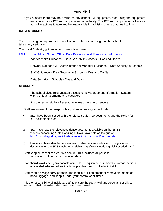If you suspect there may be a virus on any school ICT equipment, stop using the equipment and contact your ICT support provider immediately. The ICT support provider will advise you what actions to take and be responsible for advising others that need to know.

#### **DATA SECURITY**

The accessing and appropriate use of school data is something that the school takes very seriously.

The Local Authority guidance documents listed below

[HGfL: School Admin: School Office: Data Protection and Freedom of Information](http://www.thegrid.org.uk/info/dataprotection/index.shtml#securedata)

Head teacher's Guidance – Data Security in Schools – Dos and Don'ts

Network Manager/MIS Administrator or Manager Guidance – Data Security in Schools

Staff Guidance – Data Security in Schools – Dos and Don'ts

Data Security in Schools - Dos and Don'ts

#### **SECURITY**

The school gives relevant staff access to its Management Information System, with a unique username and password

It is the responsibility of everyone to keep passwords secure

Staff are aware of their responsibility when accessing school data

- Staff have been issued with the relevant guidance documents and the Policy for ICT Acceptable Use
- $\Box$  Staff have read the relevant guidance documents available on the SITSS website concerning 'Safe Handling of Data' (available on the grid at [http://www.thegrid.org.uk/info/dataprotection/index.shtml#securedata\)](http://www.thegrid.org.uk/info/dataprotection/index.shtml#securedata)
- $\Box$  Leadership have identified relevant responsible persons as defined in the quidance documents on the SITSS website (available - [http://www.thegrid.org.uk/info/traded/sitss/\)](http://www.thegrid.org.uk/info/traded/sitss/))
- Staff keep all school related data secure. This includes all personal, sensitive, confidential or classified data
- Staff should avoid leaving any portable or mobile ICT equipment or removable storage media in unattended vehicles. Where this is not possible, keep it locked out of sight
- Staff should always carry portable and mobile ICT equipment or removable media as hand luggage, and keep it under your control at all times

It is the responsibility of individual staff to ensure the security of any personal, sensitive, confidential and classified information contained in documents faxed, copied, scanned or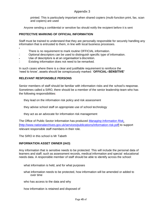printed. This is particularly important when shared copiers (multi-function print, fax, scan and copiers) are used

Anyone sending a confidential or sensitive fax should notify the recipient before it is sent

#### **PROTECTIVE MARKING OF OFFICIAL INFORMATION**

Staff must be trained to understand that they are personally responsible for securely handling any information that is entrusted to them, in line with local business processes.

- There is no requirement to mark routine OFFICIAL information.
- Optional descriptors can be used to distinguish specific type of information.  $\overline{\phantom{a}}$
- Use of descriptors is at an organisation's discretion.
- Existing information does not need to be remarked.  $\Box$

In such cases where there is a clear and justifiable requirement to reinforce the 'need to know', assets should be conspicuously marked: '**OFFICIAL–SENSITIVE'**

#### **RELEVANT RESPONSIBLE PERSONS**

•

Senior members of staff should be familiar with information risks and the school's response. Sometimes called a SIRO, there should be a member of the senior leadership team who has the following responsibilities:

they lead on the information risk policy and risk assessment

they advise school staff on appropriate use of school technology

they act as an advocate for information risk management

The Office of Public Sector Information has produced *[Managing Information Risk](http://www.nationalarchives.gov.uk/services/publications/information-risk.pdf)*, [\[http://www.nationalarchives.gov.uk/services/publications/information-risk.pdf\] t](http://www.nationalarchives.gov.uk/services/publications/information-risk.pdf)o support relevant responsible staff members in their role.

The SIRO in this school is Mr Tabeth

#### **INFORMATION ASSET OWNER (IAO)**

Any information that is sensitive needs to be protected. This will include the personal data of learners and staff; such as assessment records, medical information and special educational needs data. A responsible member of staff should be able to identify across the school:

what information is held, and for what purposes

what information needs to be protected, how information will be amended or added to over time

who has access to the data and why

how information is retained and disposed of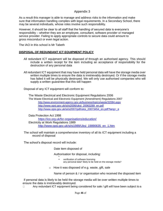As a result this manager is able to manage and address risks to the information and make sure that information handling complies with legal requirements. In a Secondary School, there may be several individuals, whose roles involve such responsibility.

However, it should be clear to all staff that the handling of secured data is everyone's responsibility – whether they are an employee, consultant, software provider or managed service provider. Failing to apply appropriate controls to secure data could amount to gross misconduct or even legal action.

The IAO in this school is Mr Tabeth

#### **DISPOSAL OF REDUNDANT ICT EQUIPMENT POLICY**

- All redundant ICT equipment will be disposed of through an authorised agency. This should include a written receipt for the item including an acceptance of responsibility for the destruction of any personal data
- All redundant ICT equipment that may have held personal data will have the storage media over written multiple times to ensure the data is irretrievably destroyed. Or if the storage media has failed it will be physically destroyed. We will only use authorised companies who will supply a written guarantee that this will happen

Disposal of any ICT equipment will conform to:

The Waste Electrical and Electronic Equipment Regulations 2006 The Waste Electrical and Electronic Equipment (Amendment) Regulations 2007 <http://www.environment-agency.gov.uk/business/topics/waste/32084.aspx> [http://www.opsi.gov.uk/si/si2006/uksi\\_20063289\\_en.pdf](http://www.opsi.gov.uk/si/si2006/uksi_20063289_en.pdf) [http://www.opsi.gov.uk/si/si2007/pdf/uksi\\_20073454\\_en.pdf?lang=\\_e](http://www.opsi.gov.uk/si/si2007/pdf/uksi_20073454_en.pdf?lang=_e)

Data Protection Act 1998 <https://ico.org.uk/for-organisations/education/> Electricity at Work Regulations 1989 [http://www.opsi.gov.uk/si/si1989/Uksi\\_19890635\\_en\\_1.htm](http://www.opsi.gov.uk/si/si1989/Uksi_19890635_en_1.htm)

The school will maintain a comprehensive inventory of all its ICT equipment including a record of disposal

The school's disposal record will include:

Date item disposed of

Authorisation for disposal, including: ▪

- verification of software licensing any personal data\* likely to be held on the storage media?
- o How it was disposed of e.g. waste, gift, sale

Name of person & / or organisation who received the disposed item

if personal data is likely to be held the storage media will be over written multiple times to ensure the data is irretrievably destroyed.

Any redundant ICT equipment being considered for sale / gift will have been subject to a $\Box$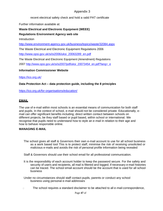recent electrical safety check and hold a valid PAT certificate

Further information available at:

#### **Waste Electrical and Electronic Equipment (WEEE)**

#### **Regulations Environment Agency web site**

Introduction

<http://www.environment-agency.gov.uk/business/topics/waste/32084.aspx>

The Waste Electrical and Electronic Equipment Regulations 2006

[http://www.opsi.gov.uk/si/si2006/uksi\\_20063289\\_en.pdf](http://www.opsi.gov.uk/si/si2006/uksi_20063289_en.pdf)

The Waste Electrical and Electronic Equipment (Amendment) Regulations 2007 [http://www.opsi.gov.uk/si/si2007/pdf/uksi\\_20073454\\_en.pdf?lang=\\_e](http://www.opsi.gov.uk/si/si2007/pdf/uksi_20073454_en.pdf?lang=_e)

#### **Information Commissioner Website**

#### <https://ico.org.uk/>

#### **Data Protection Act – data protection guide, including the 8 principles**

<https://ico.org.uk/for-organisations/education/>

#### **EMAIL**

The use of e-mail within most schools is an essential means of communication for both staff and pupils. In the context of school, e-mail should not be considered private. Educationally, email can offer significant benefits including; direct written contact between schools on different projects, be they staff based or pupil based, within school or international. We recognise that pupils need to understand how to style an e-mail in relation to their age and how to behave responsible online.

#### **MANAGING E-MAIL**

The school gives all staff & Governors their own e-mail account to use for all school business as a work based tool This is to protect staff, minimise the risk of receiving unsolicited or malicious e-mails and avoids the risk of personal profile information being revealed

Staff & Governors should use their school email for all professional communication.

- It is the responsibility of each account holder to keep the password secure. For the safety and security of users and recipients, all mail is filtered and logged; if necessary e-mail histories can be traced. The school email account should be the account that is used for all school business
- Under no circumstances should staff contact pupils, parents or conduct any school business using personal e-mail addresses
- The school requires a standard disclaimer to be attached to all e-mail correspondence, $\Box$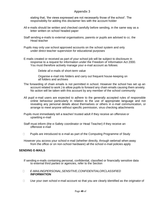stating that, 'the views expressed are not necessarily those of the school'. The responsibility for adding this disclaimer lies with the account holder

- All e-mails should be written and checked carefully before sending, in the same way as a letter written on school headed paper
- Staff sending e-mails to external organisations, parents or pupils are advised to cc. the Head teacher
- Pupils may only use school approved accounts on the school system and only under direct teacher supervision for educational purposes
- E-mails created or received as part of your school job will be subject to disclosure in response to a request for information under the Freedom of Information Act 2000. You must therefore actively manage your e-mail account as follows:

Delete all e-mails of short-term value

Organise e-mail into folders and carry out frequent house-keeping on all folders and archives

- The forwarding of chain emails is not permitted in school. However the school has set up an account related to work ) to allow pupils to forward any chain emails causing them anxiety. No action will be taken with this account by any member of the school community
- All pupil e-mail users are expected to adhere to the generally accepted rules of responsible online behaviour particularly in relation to the use of appropriate language and not revealing any personal details about themselves or others in e-mail communication, or arrange to meet anyone without specific permission, virus checking attachments
- Pupils must immediately tell a teacher/ trusted adult if they receive an offensive or upsetting e-mail
- Staff must inform (the e-Safety coordinator or Head Teacher) if they receive an offensive e-mail
- Pupils are introduced to e-mail as part of the Computing Programme of Study  $\Box$
- However you access your school e-mail (whether directly, through webmail when away from the office or on non-school hardware) all the school e-mail policies apply

#### **SENDING E-MAILS**

If sending e-mails containing personal, confidential, classified or financially sensitive data to external third parties or agencies, refer to the Section

#### $\Box$ *E-MAILINGPERSONAL,SENSITIVE,CONFIDENTIALORCLASSIFIED* **INFORMATION**

 $\Box$ Use your own school e-mail account so that you are clearly identified as the originator of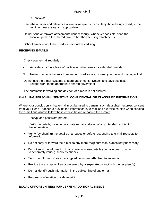#### a message

Keep the number and relevance of e-mail recipients, particularly those being copied, to the minimum necessary and appropriate

Do not send or forward attachments unnecessarily. Whenever possible, send the location path to the shared drive rather than sending attachments

School e-mail is not to be used for personal advertising

#### **RECEIVING E-MAILS**

Check your e-mail regularly

- Activate your 'out-of-office' notification when away for extended periods
- $\Box$ Never open attachments from an untrusted source; consult your network manager first
- Do not use the e-mail systems to store attachments. Detach and save business related work to the appropriate shared drive/folder

The automatic forwarding and deletion of e-mails is not allowed

#### **E-M AILING PERSONAL, SENSITIVE, CONFIDENTIAL OR CLASSIFIED INFORMATION**

Where your conclusion is that e-mail must be used to transmit such data obtain express consent from your Head Teacher to provide the information by e-mail and exercise caution when sending the e-mail and always follow these checks before releasing the e-mail:

Encrypt and password protect.

Verify the details, including accurate e-mail address, of any intended recipient of the information

- Verify (by phoning) the details of a requestor before responding to e-mail requests for information
- Do not copy or forward the e-mail to any more recipients than is absolutely necessary
- Do not send the information to any person whose details you have been unable to separately verify (usually by phone)
- Send the information as an encrypted document **attached** to an e-mail
- Provide the encryption key or password by a **separate** contact with the recipient(s)
- Do not identify such information in the subject line of any e-mail
- Request confirmation of safe receipt

#### **EQUAL OPPORTUNITIES: PUPILS WITH ADDITIONAL NEEDS**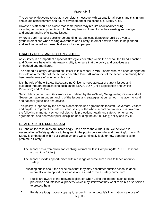The school endeavours to create a consistent message with parents for all pupils and this in turn should aid establishment and future development of the schools' e-Safety rules.

However, staff should be aware that some pupils may require additional teaching including reminders, prompts and further explanation to reinforce their existing knowledge and understanding of e-Safety issues.

Where a pupil has poor social understanding, careful consideration should be given to group interactions when raising awareness of e-Safety. Internet activities should be planned and well managed for these children and young people.

#### **E-SAFETY ROLES AND RESPONSIBILITIES**

As e-Safety is an important aspect of strategic leadership within the school, the Head Teacher and Governors have ultimate responsibility to ensure that the policy and practices are embedded and monitored.

The named e-Safety Safeguarding Officer in this school is Mrs. Tabeth who has been designated this role as a member of the senior leadership team. All members of the school community have been made aware of who holds this post.

It is the role of the e-Safety Safeguarding Officer to keep abreast of current issues and guidance through organisations such as the LEA, CEOP (Child Exploitation and Online Protection) and Childnet.

Senior Management and Governors are updated by the e-Safety Safeguarding Officer and all Governors have an understanding of the issues and strategies at our school in relation to local and national guidelines and advice.

This policy, supported by the school's acceptable use agreements for staff, Governors, visitors and pupils, is to protect the interests and safety of the whole school community. It is linked to the following mandatory school policies: child protection, health and safety, home–school agreements, and behaviour/pupil discipline (including the anti-bullying) policy and PSHE.

#### **E-S AFETY IN THE CURRICULUM**

ICT and online resources are increasingly used across the curriculum. We believe it is essential for e-Safety guidance to be given to the pupils on a regular and meaningful basis. E-Safety is embedded within our curriculum and we continually look for new opportunities to promote e-Safety.

- The school has a framework for teaching internet skills in Computing/ICT/ PSHE lessons (*curriculum folder*.)
- The school provides opportunities within a range of curriculum areas to teach about e-Safety

Educating pupils about the online risks that they may encounter outside school is done informally when opportunities arise and as part of the e-Safety curriculum

- Pupils are aware of the relevant legislation when using the internet such as data protection and intellectual property which may limit what they want to do but also serves to protect them
- Page **50** of • Pupils are taught about copyright, respecting other people's information, safe use of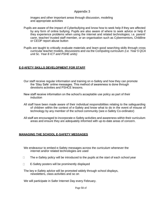images and other important areas through discussion, modeling and appropriate activities

- Pupils are aware of the impact of Cyberbullying and know how to seek help if they are affected by any form of online bullying. Pupils are also aware of where to seek advice or help if they experience problems when using the internet and related technologies; i.e. parent/ carer, teacher/ trusted staff member, or an organisation such as Cybermentors, Childline or CEOP report abuse button
- Pupils are taught to critically evaluate materials and learn good searching skills through cross curricular teacher models, discussions and via the Computing curriculum *(i.e. Year 5 QCA unit 5c. Year 8 ICT and PSHE units)*

#### **E-S AFETY SKILLS DEVELOPMENT FOR STAFF**

- Our staff receive regular information and training on e-Safety and how they can promote the 'Stay Safe' online messages. This method of awareness is done through devotions activities and PSHCE lessons.
- New staff receive information on the school's acceptable use policy as part of their induction
- All staff have been made aware of their individual responsibilities relating to the safeguarding of children within the context of e-Safety and know what to do in the event of misuse of technology by any member of the school community (see e-Safety Co-ordinator)
- All staff are encouraged to incorporate e-Safety activities and awareness within their curriculum areas and ensure they are adequately informed with up-to-date areas of concern.

#### **MANAGING THE SCHOOL E-SAFETY MESSAGES**

- We endeavour to embed e-Safety messages across the curriculum whenever the internet and/or related technologies are used
- $\Box$ The e-Safety policy will be introduced to the pupils at the start of each school year
- $\Box$ E-Safety posters will be prominently displayed
- The key e-Safety advice will be promoted widely through school displays, newsletters, class activities and so on

We will participate in Safer Internet Day every February.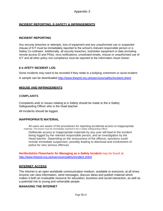#### **INCIDENT REPORTING, E-SAFETY & INFRINGEMENTS**

#### **INCIDENT REPORTING**

Any security breaches or attempts, loss of equipment and any unauthorised use or suspected misuse of ICT must be immediately reported to the school's relevant responsible person or e-Safety Co-ordinator. Additionally, all security breaches, lost/stolen equipment or data (including remote access ID and PINs), virus notifications, unsolicited emails, misuse or unauthorised use of ICT and all other policy non-compliance must be reported to the Information Asset Owner.

#### **E-S AFETY INCIDENT LOG**

Some incidents may need to be recorded if they relate to a bullying, extremism or racist incident.

A sample can be downloaded<http://www.thegrid.org.uk/eservices/safety/incident.shtml>

#### **MISUSE AND INFRINGEMENTS**

#### **COMPLAINTS**

Complaints and/ or issues relating to e-Safety should be made to the e-Safety Safeguarding Officer who is the head teacher.

All incidents should be logged.

#### **INAPPROPRIATE MATERIAL**

police for very serious offences

All users are aware of the procedures for reporting accidental access to inappropriate materials. The breach must be immediately reported to the e-Safety Safeguarding Officer Deliberate access to inappropriate materials by any user will lead to the incident being logged by the relevant responsible person, and an investigation by the Head teacher. Depending on the seriousness of the offence, sanctions could include immediate suspension, possibly leading to dismissal and involvement of

**Hertfordshire Flowcharts for Managing an e-Safety Incident** may be found at: <http://www.thegrid.org.uk/eservices/safety/incident.shtml>

#### **INTERNET ACCESS**

The internet is an open worldwide communication medium, available to everyone, at all times. Anyone can view information, send messages, discuss ideas and publish material which makes it both an invaluable resource for education, business and social interaction, as well as a potential risk to young and vulnerable people.

#### **MANAGING THE INTERNET**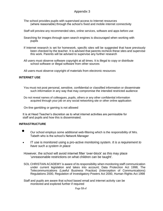- The school provides pupils with supervised access to Internet resources (where reasonable) through the school's fixed and mobile internet connectivity
- Staff will preview any recommended sites, online services, software and apps before use
- Searching for images through open search engines is discouraged when working with pupils
- If Internet research is set for homework, specific sites will be suggested that have previously been checked by the teacher. It is advised that parents recheck these sites and supervise this work. Parents will be advised to supervise any further research
- All users must observe software copyright at all times. It is illegal to copy or distribute school software or illegal software from other sources

All users must observe copyright of materials from electronic resources

#### **INTERNET USE**

- You must not post personal, sensitive, confidential or classified information or disseminate such information in any way that may compromise the intended restricted audience
- Do not reveal names of colleagues, pupils, others or any other confidential information acquired through your job on any social networking site or other online application

On-line gambling or gaming is not allowed

It is at Head Teacher's discretion as to what internet activities are permissible for staff and pupils and how this is disseminated.

#### **INFRASTRUCTURE**

- Our school employs some additional web-filtering which is the responsibility of Mrs. Tabeth who is the school's Network Manager
- IT use is monitored using a pro-active monitoring system. *It is a requirement to have such a system in place*

However, the school will avoid internet filter 'over-block' as this may place 'unreasonable restrictions on what children can be taught'.

SOL CHRISTIAN ACADEMY is aware of its responsibility when monitoring staff communication under current legislation and takes into account; Data Protection Act 1998, The Telecommunications (Lawful Business Practice) (Interception of Communications) Regulations 2000, Regulation of Investigatory Powers Act 2000, Human Rights Act 1998

Staff and pupils are aware that school based email and internet activity can be monitored and explored further if required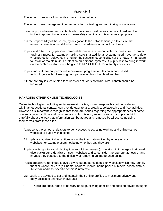The school does not allow pupils access to internet logs

The school uses management control tools for controlling and monitoring workstations

- If staff or pupils discover an unsuitable site, the screen must be switched off/ closed and the incident reported immediately to the e-safety coordinator or teacher as appropriate
- It is the responsibility of the school, by delegation to the network manager, to ensure that anti-virus protection is installed and kept up-to-date on all school machines
- Pupils and Staff using personal removable media are responsible for measures to protect against viruses, for example making sure that additional systems used have up-to-date virus protection software. It is neither the school's responsibility nor the network managers to install or maintain virus protection on personal systems. If pupils wish to bring in work on removable media it must be given to MRS TABETH for a safety check first
- Pupils and staff are not permitted to download programs or files on school based technologies without seeking prior permission from the Head teacher
- If there are any issues related to viruses or anti-virus software, Mrs. Tabeth should be informed

#### **MANAGING OTHER ONLINE TECHNOLOGIES**

Online technologies (including social networking sites, if used responsibly both outside and within an educational context) can provide easy to use, creative, collaborative and free facilities. However it is important to recognise that there are issues regarding the appropriateness of some content, contact, culture and commercialism. To this end, we encourage our pupils to think carefully about the way that information can be added and removed by all users, including themselves, from these sites.

- At present, the school endeavors to deny access to social networking and online games websites to pupils within school
- All pupils are advised to be cautious about the information given by others on such websites, for example users not being who they say they are
- Pupils are taught to avoid placing images of themselves (or details within images that could give background details) on such websites and to consider the appropriateness of any images they post due to the difficulty of removing an image once online
- Pupils are always reminded to avoid giving out personal details on websites which may identify them or where they are (full name, address, mobile/ home phone numbers, school details, IM/ email address, specific hobbies/ interests)
- Our pupils are advised to set and maintain their online profiles to maximum privacy and deny access to unknown individuals
- Pupils are encouraged to be wary about publishing specific and detailed private thoughts $\Box$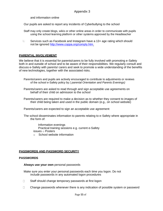and information online

Our pupils are asked to report any incidents of Cyberbullying to the school

- Staff may only create blogs, wikis or other online areas in order to communicate with pupils using the school learning platform or other systems approved by the Headteacher
- $\Box$  Services such as Facebook and Instagram have a 13+ age rating which should not be ignored <http://www.coppa.org/comply.htm>

#### **PARENTAL INVOLVEMENT**

We believe that it is essential for parents/carers to be fully involved with promoting e-Safety both in and outside of school and to be aware of their responsibilities. We regularly consult and discuss e-Safety with parents/ carers and seek to promote a wide understanding of the benefits of new technologies, together with the associated risks.

- Parents/carers and pupils are actively encouraged to contribute to adjustments or reviews of the school e-Safety policy by *( parental Orientation and Parents Evenings)*
- Parents/carers are asked to read through and sign acceptable use agreements on behalf of their child on admission to the school

Parents/carers are required to make a decision as to whether they consent to images of their child being taken and used in the public domain (e.g., on school website)

Parents/carers are expected to sign an acceptable use agreement

The school disseminates information to parents relating to e-Safety where appropriate in the form of:

Information evenings Practical training sessions e.g. current e-Safety issues o Posters

o School website information

#### **PASSWORDS AND PASSWORD SECURITY**

#### **PASSWORDS**

**Always use your own** personal passwords

- Make sure you enter your personal passwords each time you logon. Do not include passwords in any automated logon procedures
- $\Box$ Staff should change temporary passwords at first logon
- Change passwords whenever there is any indication of possible system or password $\Box$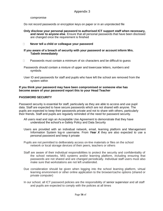compromise

Do not record passwords or encryption keys on paper or in an unprotected file

- **Only disclose your personal password to authorised ICT support staff when necessary, and never to anyone else**. Ensure that all personal passwords that have been disclosed are changed once the requirement is finished
- **Never tell a child or colleague your password**  $\Box$

#### **If you aware of a breach of security with your password or account inform Mrs. Tabeth immediately**

- $\Box$ Passwords must contain a minimum of six characters and be difficult to guess
- Passwords should contain a mixture of upper and lowercase letters, numbers and symbols
- User ID and passwords for staff and pupils who have left the school are removed from the system within

#### **If you think your password may have been compromised or someone else has become aware of your password report this to your Head Teacher**

#### **PASSWORD SECURITY**

Password security is essential for staff, particularly as they are able to access and use pupil data. Staff are expected to have secure passwords which are not shared with anyone. The pupils are expected to keep their passwords private and not to share with others, particularly their friends. Staff and pupils are regularly reminded of the need for password security.

- All users read and sign an Acceptable Use Agreement to demonstrate that they have understood the school's e-Safety Policy and Data Security
- Users are provided with an individual network, email, learning platform and Management Information System log-in username. From *Year X* they are also expected to use a personal password and keep it private
- Pupils are not permitted to deliberately access on-line materials or files on the school network or local storage devices of their peers, teachers or others
- Staff are aware of their individual responsibilities to protect the security and confidentiality of the school networks, MIS systems and/or learning platform, including ensuring that passwords are not shared and are changed periodically. Individual staff users must also make sure that workstations are not left unattended.
- Due consideration should be given when logging into the school learning platform, virtual learning environment or other online application to the browser/cache options (shared or private computer)
- In our school, all ICT password policies are the responsibility of senior supervisor and all staff and pupils are expected to comply with the policies at all times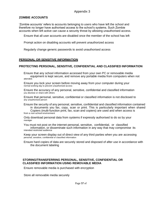#### **ZOMBIE ACCOUNTS**

'Zombie accounts' refers to accounts belonging to users who have left the school and therefore no longer have authorised access to the school's systems. Such Zombie accounts when left active can cause a security threat by allowing unauthorised access.

Ensure that all user accounts are disabled once the member of the school has left

Prompt action on disabling accounts will prevent unauthorized access

Regularly change generic passwords to avoid unauthorised access

#### **PERSONAL OR SENSITIVE INFORMATION**

#### **PROTECTING PERSONAL, SENSITIVE, CONFIDENTIAL AND CLASSIFIED INFORMATION**

Ensure that any school information accessed from your own PC or removable media equipment is kept secure, and remove any portable media from computers when not attended.

Ensure you lock your screen before moving away from your computer during your normal working day to prevent unauthorised access

Ensure the accuracy of any personal, sensitive, confidential and classified information you disclose or share with others

Ensure that personal, sensitive, confidential or classified information is not disclosed to any unauthorised person

Ensure the security of any personal, sensitive, confidential and classified information contained in documents you fax, copy, scan or print. This is particularly important when shared

Copiers (multi-function print, fax, scan and copiers) are used and when access is from a non-school environment

Only download personal data from systems if expressly authorised to do so by your manager

You must not post on the internet personal, sensitive, confidential, or classified information, or disseminate such information in any way that may compromise its intended restricted audience

Keep your screen display out of direct view of any third parties when you are accessing personal, sensitive, confidential or classified information

Ensure hard copies of data are securely stored and disposed of after use in accordance with the document labeling

#### **STORING/TRANSFERRING PERSONAL, SENSITIVE, CONFIDENTIAL OR CLASSIFIED INFORMATION USING REMOVABLE MEDIA**

Ensure removable media is purchased with encryption

Store all removable media securely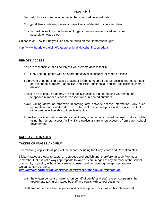Securely dispose of removable media that may hold personal data

Encrypt all files containing personal, sensitive, confidential or classified data

Ensure hard drives from machines no longer in service are removed and stored securely or wiped clean

Guidance on How to Encrypt Files can be found on the Hertfordshire grid:

<http://www.thegrid.org.uk/info/dataprotection/index.shtml#securedata>

#### **REMOTE ACCESS**

You are responsible for all activity via your remote access facility

- $\Box$ Only use equipment with an appropriate level of security for remote access
- To prevent unauthorised access to school systems, keep all dial-up access information such as telephone numbers, logon IDs and PINs confidential and do not disclose them to anyone
- Select PINs to ensure that they are not easily guessed, e.g. do not use your house or telephone number or choose consecutive or repeated numbers
- Avoid writing down or otherwise recording any network access information. Any such information that is written down must be kept in a secure place and disguised so that no other person will be able to identify what it is
- Protect school information and data at all times, including any printed material produced while using the remote access facility. Take particular care when access is from a non-school environment

#### **SAFE USE OF IMAGES**

#### **TAKING OF IMAGES AND FILM**

The following applies to all parts of the school including the Early Years and Reception class.

Digital images are easy to capture, reproduce and publish and, therefore, misuse. We must remember that it is not always appropriate to take or store images of any member of the school community or public, without first seeking consent and considering the appropriateness. Guidance can be found:

**<http://www.thegrid.org.uk/eservices/safety/research/index.shtml#safeuse>**

With the written consent of parents (on behalf of pupils) and staff, the school permits the appropriate taking of images by staff and pupils with school equipment

Staff are not permitted to use personal digital equipment, such as mobile phones and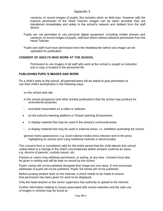cameras, to record images of pupils, this includes when on field trips. However with the express permission of the Head Teacher images can be taken provided they are transferred immediately and solely to the school's network and deleted from the staff device

- Pupils are not permitted to use personal digital equipment, including mobile phones and cameras, to record images of pupils, staff and others without advance permission from the Head Teacher
- Pupils and staff must have permission from the Headteacher before any image can be uploaded for publication

#### **CONSENT OF ADULTS WHO WORK AT THE SCHOOL**

Permission to use images of all staff who work at the school is sought on induction and a copy is located in the personnel file

#### **PUBLISHING PUPIL'S IMAGES AND WORK**

On a child's entry to the school, all parents/carers will be asked to give permission to use their child's work/photos in the following ways:

on the school web site

- in the school prospectus and other printed publications that the school may produce for promotional purposes
- $\Box$  recorded/ transmitted on a video or webcam
- on the school's learning platform or Virtual Learning Environment
- in display material that may be used in the school's communal areas
- in display material that may be used in external areas, i.e. exhibition promoting the school  $\Box$

general media appearances, e.g. local/ national media/ press releases sent to the press highlighting an activity (sent using traditional methods or electronically)

This consent form is considered valid for the entire period that the child attends this school unless there is a change in the child's circumstances where consent could be an issue, e.g. divorce of parents, custody issues, etc.

Parents or carers may withdraw permission, in writing, at any time. Consent must also be given in writing and will be kept on record by the school.

Pupils' names will not be published alongside their image and vice versa. E-mail and postal addresses of pupils will not be published. Pupils' full names will not be published.

Before posting student work on the Internet, a check needs to be made to ensure that permission has been given for work to be displayed.

Only the head teacher or the senior supervisor has authority to upload to the internet.

Further information relating to issues associated with school websites and the safe use of images in schools may be found at: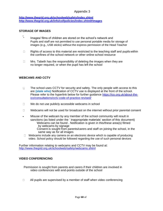**<http://www.thegrid.org.uk/schoolweb/safety/index.shtml> <http://www.thegrid.org.uk/info/csf/policies/index.shtml#images>**

#### **STORAGE OF IMAGES**

- Images/ films of children are stored on the school's network and Pupils and staff are not permitted to use personal portable media for storage of images (e.g., USB sticks) without the express permission of the Head Teacher •
- Rights of access to this material are restricted to the teaching staff and pupils within  $\Box$ the confines of the school network or other online school resource
- $\Box$ Mrs. Tabeth has the responsibility of deleting the images when they are no longer required, or when the pupil has left the school

#### **WEBCAMS AND CCTV**

- $\Box$  The school uses CCTV for security and safety. The only people with access to this are **(state who)** Notification of CCTV use is displayed at the front of the school. Please refer to the hyperlink below for further guidance [https://ico.org.uk/about-the](https://ico.org.uk/about-the-ico/consultations/cctv-code-of-practice-revised/)[ico/consultations/cctv-code-of-practice-revised/](https://ico.org.uk/about-the-ico/consultations/cctv-code-of-practice-revised/)
- $\Box$ We do not use publicly accessible webcams in school
- Webcams will not be used for broadcast on the internet without prior parental consent  $\Box$
- Misuse of the webcam by any member of the school community will result in sanctions (as listed under the ' inappropriate materials' section of this document) Webcams can be found *.* Notification is given in this/these area(s) filmed by webcams by signage Consent is sought from parents/carers and staff on joining the school, in the same way as for all images
- $\Box$  Webcams include any camera on an electronic device which is capable of producing video. School policy should be followed regarding the use of such personal devices

Further information relating to webcams and CCTV may be found at: <http://www.thegrid.org.uk/schoolweb/safety/webcams.shtml>

#### **VIDEO CONFERENCING**

Permission is sought from parents and carers if their children are involved in video conferences with end-points outside of the school

 $\Box$ All pupils are supervised by a member of staff when video conferencing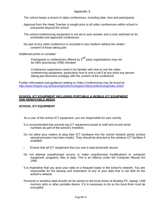The school keeps a record of video conferences, including date, time and participants

- Approval from the Head Teacher is sought prior to all video conferences within school to end-points beyond the school
- The school conferencing equipment is not set to auto-answer and is only switched on for scheduled and approved conferences
- No part of any video conference is recorded in any medium without the written consent of those taking part

Additional points to consider:

Participants in conferences offered by 3<sup>rd</sup> party organisations may not be DBS (previously CRB) checked

Conference supervisors need to be familiar with how to use the video conferencing equipment, particularly how to end a call if at any point any person taking part becomes unhappy with the content of the conference

Further information and guidance relating to Video Conferencing may be found at: <http://www.thegrid.org.uk/learning/ict/technologies/videoconferencing/index.shtml>

#### **SCHOOL ICT EQUIPMENT INCLUDING PORTABLE & MOBILE ICT EQUIPMENT AND REMOVABLE MEDIA**

#### **SCHOOL ICT EQUIPMENT**

- As a user of the school ICT equipment, you are responsible for your activity
- It is recommended that schools log ICT equipment issued to staff and record serial numbers as part of the school's inventory
- Do not allow your visitors to plug their ICT hardware into the school network points (unless special provision has been made). They should be directed to the wireless ICT facilities if available
- $\Box$ Ensure that all ICT equipment that you use is kept physically secure
- Do not attempt unauthorised access or make unauthorised modifications to computer equipment, programs, files or data. This is an offence under the Computer Misuse Act 1990
- It is imperative that you save your data on a frequent basis to the school's network. You are responsible for the backup and restoration of any of your data that is not held on the school's network
- Personal or sensitive data should not be stored on the local drives of desktop PC, laptop, USB memory stick or other portable device. If it is necessary to do so the local drive must be encrypted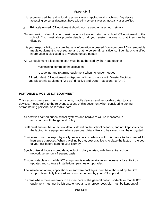- It is recommended that a time locking screensaver is applied to all machines. Any device accessing personal data must have a locking screensaver as must any user profiles
- Privately owned ICT equipment should not be used on a school network  $\Box$
- On termination of employment, resignation or transfer, return all school ICT equipment to the school. You must also provide details of all your system logons so that they can be disabled
- It is your responsibility to ensure that any information accessed from your own PC or removable media equipment is kept secure, and that no personal, sensitive, confidential or classified information is disclosed to any unauthorised person
- All ICT equipment allocated to staff must be authorised by the Head teacher

maintaining control of the allocation

recovering and returning equipment when no longer needed

All redundant ICT equipment is disposed of in accordance with Waste Electrical and Electronic Equipment (WEEE) directive and Data Protection Act (DPA)

#### **PORTABLE & MOBILE ICT EQUIPMENT**

This section covers such items as laptops, mobile devices and removable data storage devices. Please refer to the relevant sections of this document when considering storing or transferring personal or sensitive data.

- All activities carried out on school systems and hardware will be monitored in accordance with the general policy
- Staff must ensure that all school data is stored on the school network, and not kept solely on the laptop. Any equipment where personal data is likely to be stored must be encrypted
- Equipment must be kept physically secure in accordance with this policy to be covered for insurance purposes. When travelling by car, best practice is to place the laptop in the boot of your car before starting your journey
- Synchronise all locally stored data, including diary entries, with the central school network server on a frequent basis
- Ensure portable and mobile ICT equipment is made available as necessary for anti-virus updates and software installations, patches or upgrades
- The installation of any applications or software packages must be authorised by the ICT support team, fully licensed and only carried out by your ICT support
- In areas where there are likely to be members of the general public, portable or mobile ICT equipment must not be left unattended and, wherever possible, must be kept out of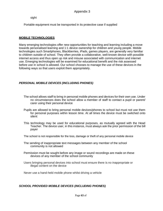sight

Portable equipment must be transported in its protective case if supplied

#### **MOBILE TECHNOLOGIES**

Many emerging technologies offer new opportunities for teaching and learning including a move towards personalised learning and 1:1 device ownership for children and young people. Mobile technologies such Smartphones, Blackberries, iPads, games players, are generally very familiar to children outside of school. They often provide a collaborative, well-known device with possible internet access and thus open up risk and misuse associated with communication and internet use. Emerging technologies will be examined for educational benefit and the risk assessed before use in school is allowed. Our school chooses to manage the use of these devices in the following ways so that users exploit them appropriately.

#### *PERSONAL MOBILE DEVICES (INCLUDING PHONES)*

- The school allows staff to bring in personal mobile phones and devices for their own use. Under no circumstances does the school allow a member of staff to contact a pupil or parent/ carer using their personal device
- Pupils are allowed to bring personal mobile devices/phones to school but must not use them for personal purposes within lesson time. At all times the device must be switched onto silent
- This technology may be used for educational purposes, as mutually agreed with the Head Teacher. The device user, in this instance, must always ask the prior permission of the bill payer
- The school is not responsible for the loss, damage or theft of any personal mobile device
- The sending of inappropriate text messages between any member of the school community is not allowed
- Permission must be sought before any image or sound recordings are made on these devices of any member of the school community
- Users bringing personal devices into school must ensure there is no inappropriate or illegal content on the device

Never use a hand-held mobile phone whilst driving a vehicle

#### *SCHOOL PROVIDED MOBILE DEVICES (INCLUDING PHONES)*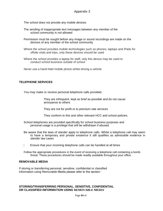The school does not provide any mobile devices

- The sending of inappropriate text messages between any member of the school community is not allowed
- Permission must be sought before any image or sound recordings are made on the devices of any member of the school community
- Where the school provides mobile technologies such as phones, laptops and iPads for offsite visits and trips, only these devices should be used
- Where the school provides a laptop for staff, only this device may be used to conduct school business outside of school

Never use a hand-held mobile phone whilst driving a vehicle

#### **TELEPHONE SERVICES**

You may make or receive personal telephone calls provided:

- They are infrequent, kept as brief as possible and do not cause annoyance to others
- They are not for profit or to premium rate services
- They conform to this and other relevant HCC and school policies.
- School telephones are provided specifically for school business purposes and personal usage is a privilege that will be withdrawn if abused
- Be aware that the laws of slander apply to telephone calls. Whilst a telephone call may seem to have a temporary and private existence it still qualifies as admissible evidence in slander law cases
- Ensure that your incoming telephone calls can be handled at all times  $\Box$

Follow the appropriate procedures in the event of receiving a telephone call containing a bomb threat. These procedures should be made readily available throughout your office.

#### **REMOVABLE MEDIA**

If storing or transferring personal, sensitive, confidential or classified information using Removable Media please refer to the section '

#### **STORING/TRANSFERRING PERSONAL, SENSITIVE, CONFIDENTIAL OR CLASSIFIED INFORMATION USING REMOVABLE MEDIA**'

Page **64** of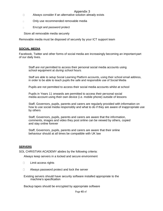- $\Box$ Always consider if an alternative solution already exists
- Only use recommended removable media  $\Box$
- Encrypt and password protect  $\Box$

Store all removable media securely

Removable media must be disposed of securely by your ICT support team

#### **SOCIAL MEDIA**

Facebook, Twitter and other forms of social media are increasingly becoming an important part of our daily lives.

Staff *are not* permitted to access their personal social media accounts using school equipment at *during school hours*.

Staff are able to setup Social Learning Platform accounts, using their school email address, in order to be able to teach pupils the safe and responsible use of Social Media

Pupils are not permitted to access their social media accounts whilst at school

Pupils in Years 11 onwards are permitted to access their personal social media account using their own device (i.e. mobile phone) outside of lessons

Staff, Governors, pupils, parents and carers are regularly provided with information on how to use social media responsibly and what to do if they are aware of inappropriate use by others

Staff, Governors, pupils, parents and carers are aware that the information, comments, images and video they post online can be viewed by others, copied and stay online forever

Staff, Governors, pupils, parents and carers are aware that their online behaviour should at all times be compatible with UK law

#### **SERVERS**

SOL CHRISTIAN ACADEMY abides by the following criteria:

Always keep servers in a locked and secure environment

- $\Box$ Limit access rights
- $\Box$ Always password protect and lock the server
- Existing servers should have security software installed appropriate to the machine's specification

Backup tapes should be encrypted by appropriate software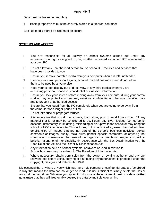Data must be backed up regularly

Backup tapes/discs must be securely stored in a fireproof container  $\Box$ 

Back up media stored off-site must be secure

#### **SYSTEMS AND ACCESS**

- $\Box$ You are responsible for all activity on school systems carried out under any access/account rights assigned to you, whether accessed via school ICT equipment or your own PC
- Do not allow any unauthorised person to use school ICT facilities and services that  $\Box$ have been provided to you
- Ensure you remove portable media from your computer when it is left unattended  $\Box$
- $\Box$ Use only your own personal logons, account IDs and passwords and do not allow them to be used by anyone else
- Keep your screen display out of direct view of any third parties when you are  $\Box$ accessing personal, sensitive, confidential or classified information
- Ensure you lock your screen before moving away from your computer during your normal  $\Box$ working day to protect any personal, sensitive, confidential or otherwise classified data and to prevent unauthorised access
- Ensure that you logoff from the PC completely when you are going to be away from  $\Box$ the computer for a longer period of time
- $\Box$ Do not introduce or propagate viruses
- It is imperative that you do not access, load, store, post or send from school ICT any material that is, or may be considered to be, illegal, offensive, libelous, pornographic, obscene, defamatory, intimidating, misleading or disruptive to the school or may bring the school or HCC into disrepute. This includes, but is not limited to, jokes, chain letters, files, emails, clips or images that are not part of the school's business activities; sexual comments or images, nudity, racial slurs, gender specific comments, or anything that would offend someone on the basis of their age, sexual orientation, religious or political beliefs, national origin, or disability (in accordance with the Sex Discrimination Act, the Race Relations Act and the Disability Discrimination Act)
- Any information held on School systems, hardware or used in relation to  $\Box$ School business may be subject to The Freedom of Information Act
- $\Box$ Where necessary, obtain permission from the owner or owning authority and pay any relevant fees before using, copying or distributing any material that is protected under the Copyright, Designs and Patents Act 1998

It is essential that any hard drives which may have held personal or confidential data are 'scrubbed' in way that means the data can no longer be read. It is not sufficient to simply delete the files or reformat the hard drive. Whoever you appoint to dispose of the equipment must provide a **written guarantee** that they will irretrievably destroy the data by multiple over writing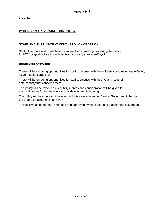the data.

#### **WRITING AND REVIEWING THIS POLICY**

#### **STAFF AND PUPIL INVOLVEMENT IN POLICY CREATION**

Staff, Governors and pupils have been involved in making/ reviewing the Policy for ICT Acceptable Use through *(school council, staff meetings)*

#### **REVIEW PROCEDURE**

There will be on-going opportunities for staff to discuss with the e-Safety coordinator any e-Safety issue that concerns them

There will be on-going opportunities for staff to discuss with the AIO any issue of data security that concerns them

This policy will be reviewed every (24) months and consideration will be given to the implications for future whole school development planning

The policy will be amended if new technologies are adopted or Central Government change the orders or guidance in any way

This policy has been read, amended and approved by the staff, head teacher and Governors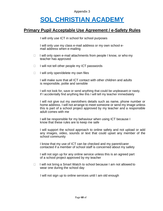## **SOL CHRISTIAN ACADEMY**

### **Primary Pupil Acceptable Use Agreement / e-Safety Rules**

I will only use ICT in school for school purposes

I will only use my class e-mail address or my own school email address when e-mailing

- I will only open e-mail attachments from people I know, or who my  $\Box$ teacher has approved
- $\Box$ I will not tell other people my ICT passwords
- I will only open/delete my own files  $\Box$

I will make sure that all ICT contact with other children and adults is responsible, polite and sensible

I will not look for, save or send anything that could be unpleasant or nasty. If I accidentally find anything like this I will tell my teacher immediately

I will not give out my own/others details such as name, phone number or home address. I will not arrange to meet someone or send my image unless this is part of a school project approved by my teacher and a responsible adult comes with me

I will be responsible for my behaviour when using ICT because I know that these rules are to keep me safe

I will support the school approach to online safety and not upload or add any images, video, sounds or text that could upset any member of the school community

I know that my use of ICT can be checked and my parent/carer contacted if a member of school staff is concerned about my safety

I will not sign up for any online service unless this is an agreed part of a school project approved by my teacher

I will not bring a Smart Watch to school because I am not allowed to  $\Box$ wear one during the school day

I will not sign up to online services until I am old enough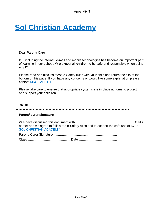# **Sol Christian Academy**

Dear Parent/ Carer

ICT including the internet, e-mail and mobile technologies has become an important part of learning in our school. W e expect all children to be safe and responsible when using any ICT.

Please read and discuss these e-Safety rules with your child and return the slip at the bottom of this page. If you have any concerns or would like some explanation please contact MRS TABETH

Please take care to ensure that appropriate systems are in place at home to protect and support your child/ren.

| $\approx$ |  |
|-----------|--|

#### **Parent/ carer signature**

W e have discussed this document with ................................................................(Child's name) and we agree to follow the e-Safety rules and to support the safe use of ICT at SOL CHRISTIAN ACADEMY

Parent/ Carer Signature …….………………….………………………….

Class …………………………………. Date ………………………………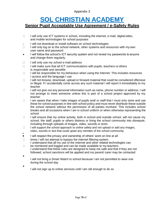## **SOL CHRISTIAN ACADEMY Senior Pupil Acceptable Use Agreement / e-Safety Rules**

- $\Box$ I will only use ICT systems in school, including the internet, e-mail, digital video, and mobile technologies for school purposes
- I will not download or install software on school technologies  $\Box$
- I will only log on to the school network, other systems and resources with my own  $\Box$ user name and password
- I will follow the school's ICT security system and not reveal my passwords to anyone and change them regularly.
- $\Box$ I will only use my school e-mail address
- I will make sure that all ICT communications with pupils, teachers or others  $\Box$ is responsible and sensible
- $\Box$ I will be responsible for my behaviour when using the Internet. This includes resources I access and the language I use
- I will not browse, download, upload or forward material that could be considered offensive  $\Box$ or illegal. If I accidentally come across any such material I will report it immediately to my teacher
- I will not give out any personal information such as name, phone number or address. I will  $\Box$ not arrange to meet someone unless this is part of a school project approved by my teacher
- I am aware that when I take images of pupils and/ or staff that I must only store and use  $\Box$ these for school purposes in line with school policy and must never distribute these outside the school network without the permission of all parties involved. This includes school breaks and all occasions when I am in school uniform or when otherwise representing the school
- I will ensure that my online activity, both in school and outside school, will not cause my  $\Box$ school, the staff, pupils or others distress or bring the school community into disrepute, including through uploads of images, video, sounds or texts
- I will support the school approach to online safety and not upload or add any images,  $\Box$ video, sounds or text that could upset any member of the school community •
- I will respect the privacy and ownership of others' work on-line at all
- times I will not attempt to bypass the internet filtering system  $\Box$
- I understand that all my use of the Internet and other related technologies can be monitored and logged and can be made available to my teachers  $\Box$
- I understand that these rules are designed to keep me safe and that if they are not followed, school sanctions will be applied and my parent/ carer may be contacted
- •

I will not bring a Smart Watch to school because I am not permitted to wear one during the school day

•

I will not sign up to online services until I am old enough to do so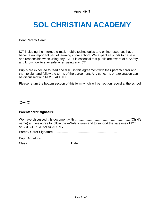# **SOL CHRISTIAN ACADEMY**

Dear Parent/ Carer

ICT including the internet, e-mail, mobile technologies and online resources have become an important part of learning in our school. We expect all pupils to be safe and responsible when using any ICT. It is essential that pupils are aware of e-Safety and know how to stay safe when using any ICT.

Pupils are expected to read and discuss this agreement with their parent/ carer and then to sign and follow the terms of the agreement. Any concerns or explanation can be discussed with MRS TABETH

Please return the bottom section of this form which will be kept on record at the school

 $\blacktriangleright$ 

#### **Parent/ carer signature**

We have discussed this document with .............................................................. (Child's name) and we agree to follow the e-Safety rules and to support the safe use of ICT at SOL CHRISTIAN ACADEMY

Parent/ Carer Signature …….………………….………………………….

Pupil Signature……………………………………………………………………..

Class …………………………………. Date ………………………………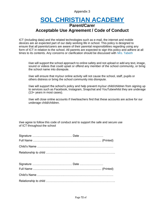# **SOL CHRISTIAN ACADEMY Parent/Carer Acceptable Use Agreement / Code of Conduct**

ICT (including data) and the related technologies such as e-mail, the internet and mobile devices are an expected part of our daily working life in school. This policy is designed to ensure that all parents/carers are aware of their parental responsibilities regarding using any form of ICT in relation to the school. All parents are expected to sign this policy and adhere at all times to its contents. Any concerns or clarification should be discussed with Mrs. Tabeth

I/we will support the school approach to online safety and not upload or add any text, image, sound or videos that could upset or offend any member of the school community, or bring the school name into disrepute.

I/we will ensure that my/our online activity will not cause the school, staff, pupils or others distress or bring the school community into disrepute.

I/we will support the school's policy and help prevent my/our child/children from signing up to services such as Facebook, Instagram, Snapchat and YouTubewhilst they are underage (13+ years in most cases).

I/we will close online accounts if I/we/teachers find that these accounts are active for our underage child/children.

I/we agree to follow this code of conduct and to support the safe and secure use of ICT throughout the school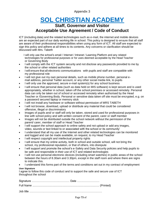# **SOL CHRISTIAN ACADEMY Staff, Governor and Visitor Acceptable Use Agreement / Code of Conduct**

ICT (including data) and the related technologies such as e-mail, the internet and mobile devices are an expected part of our daily working life in school. This policy is designed to ensure that all staff are aware of their professional responsibilities when using any form of ICT. All staff are expected to sign this policy and adhere at all times to its contents. Any concerns or clarification should be discussed with Mrs. Tabeth

I will only use the school's email / Internet / Intranet / Learning Platform and any related technologies for professional purposes or for uses deemed acceptable by the Head Teacher or Governing Body

- I will comply with the ICT system security and not disclose any passwords provided to me by the school or other related authorities
- I will ensure that all electronic communications with pupils and staff are compatible with my professional role
- I will not give out my own personal details, such as mobile phone number, personal email address, personal Twitter account, or any other social media link, to pupils
- I will only use the approved, secure e-mail system(s) for any school business
- I will ensure that personal data (such as data held on MIS software) is kept secure and is used appropriately, whether in school, taken off the school premises or accessed remotely. Personal data can only be taken out of school or accessed remotely when authorised by the Head Teacher or /Governing Body. Personal or sensitive data taken off site must be encrypted, e.g. on a password secured laptop or memory stick
- I will not install any hardware or software without permission of MRS TABETH
- I will not browse, download, upload or distribute any material that could be considered offensive, illegal or discriminatory
- Images of pupils and/ or staff will only be taken, stored and used for professional purposes in line with school policy and with written consent of the parent, carer or staff member
- Images will not be distributed outside the school network without the permission of the parent/ carer, member of staff or Head Teacher
- I will support the school approach to online safety and not upload or add any images, video, sounds or text linked to or associated with the school or its community'
- I understand that all my use of the Internet and other related technologies can be monitored and logged and can be made available, on request, to my Head Teacher
- I will respect copyright and intellectual property rights
- I will ensure that my online activity, both in school and outside school, will not bring the school, my professional reputation, or that of others, into disrepute
- I will support and promote the school's e-Safety and Data Security policies and help pupils to be safe and responsible in their use of ICT and related technologies
- I will not use personal electronic devices (including smart watches) in public areas of the school between the hours of 8.30am and 3.30pm, except in the staff room and where there are signs to indicate this.
- I understand this forms part of the terms and conditions set out in my contract of employment

#### **User Signature**

I agree to follow this code of conduct and to support the safe and secure use of ICT throughout the school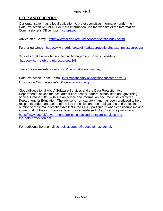# **HELP AND SUPPORT**

Our organisation has a legal obligation to protect sensitive information under the Data Protection Act 1998. For more information visit the website of the Information Commissioner's Office<https://ico.org.uk/>

Advice on e-Safety - <http://www.thegrid.org.uk/eservices/safety/index.shtml>

Further guidance - <http://www.thegrid.org.uk/info/dataprotection/index.shtml#securedata>

School's toolkit is available - Record Management Society website – <http://www.rms-gb.org.uk/resources/848>

Test your online safety skills [http://www.getsafeonline.org](http://www.getsafeonline.org/)

Data Protection Team – email [informationcompliance@manchesteer.gov.uk](mailto:informationcompliance@manchesteer.gov.uk) Information Commissioner's Office - [www.ico.org.uk](http://www.ico.org.uk/)

Cloud (Educational Apps) Software Services and the Data Protection Act – Departmental advice for local authorities, school leaders, school staff and governing bodies, October 2015 – this is an advice and information document issued by the Department for Education. The advice is non-statutory, and has been produced to help recipients understand some of the key principles and their obligations and duties in relation to the Data Protection Act 1998 (the DPA), particularly when considering moving some or all of their software services to internet-based "cloud" service provision -

[https://www.gov.uk/government/publications/cloud-software-services-and](https://www.gov.uk/government/publications/cloud-software-services-and-the-data-protection-act)[the-data-protection-act](https://www.gov.uk/government/publications/cloud-software-services-and-the-data-protection-act)

For additional help, email [school.ictsupport@education.gsi.gov.uk](mailto:school.ictsupport@education.gsi.gov.uk)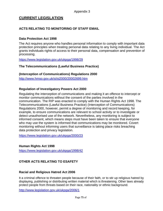# **CURRENT LEGISLATION**

# **ACTS RELATING TO MONITORING OF STAFF EMAIL**

#### **Data Protection Act 1998**

The Act requires anyone who handles personal information to comply with important data protection principles when treating personal data relating to any living individual. The Act grants individuals rights of access to their personal data, compensation and prevention of processing.

<https://www.legislation.gov.uk/ukpga/1998/29>

#### **The Telecommunications (Lawful Business Practice)**

#### **(Interception of Communications) Regulations 2000**

<http://www.hmso.gov.uk/si/si2000/20002699.htm>

# **Regulation of Investigatory Powers Act 2000**

Regulating the interception of communications and making it an offence to intercept or monitor communications without the consent of the parties involved in the communication. The RIP was enacted to comply with the Human Rights Act 1998. The Telecommunications (Lawful Business Practice) (Interception of Communications) Regulations 2000, however, permit a degree of monitoring and record keeping, for example, to ensure communications are relevant to school activity or to investigate or detect unauthorised use of the network. Nevertheless, any monitoring is subject to informed consent, which means steps must have been taken to ensure that everyone who may use the system is informed that communications may be monitored. Covert monitoring without informing users that surveillance is taking place risks breaching data protection and privacy legislation.

<https://www.legislation.gov.uk/ukpga/2000/23>

#### **Human Rights Act 1998**

<https://www.legislation.gov.uk/ukpga/1998/42>

# **OTHER ACTS RELATING TO ESAFETY**

# **Racial and Religious Hatred Act 2006**

It a criminal offence to threaten people because of their faith, or to stir up religious hatred by displaying, publishing or distributing written material which is threatening. Other laws already protect people from threats based on their race, nationality or ethnic background.

<http://www.legislation.gov.uk/ukpga/2006/1>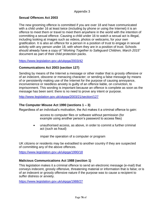# **Sexual Offences Act 2003**

The new grooming offence is committed if you are over 18 and have communicated with a child under 16 at least twice (including by phone or using the Internet) it is an offence to meet them or travel to meet them anywhere in the world with the intention of committing a sexual offence. Causing a child under 16 to watch a sexual act is illegal, including looking at images such as videos, photos or webcams, for your own gratification. It is also an offence for a person in a position of trust to engage in sexual activity with any person under 18, with whom they are in a position of trust. Schools should already have a copy of "*Working Together to Safeguard Children, March 2015*" document as part of their child protection packs.

<https://www.legislation.gov.uk/ukpga/2003/42>

# **Communications Act 2003 (section 127)**

Sending by means of the Internet a message or other matter that is grossly offensive or of an indecent, obscene or menacing character; or sending a false message by means of or persistently making use of the Internet for the purpose of causing annoyance, inconvenience or needless anxiety is guilty of an offence liable, on conviction, to imprisonment. This wording is important because an offence is complete as soon as the message has been sent: there is no need to prove any intent or purpose.

<http://www.legislation.gov.uk/ukpga/2003/21/section/127>

# **The Computer Misuse Act 1990 (sections 1 – 3)**

Regardless of an individual's motivation, the Act makes it a criminal offence to gain:

access to computer files or software without permission (for example using another person's password to access files)

• unauthorised access, as above, in order to commit a further criminal act (such as fraud)

impair the operation of a computer or program

UK citizens or residents may be extradited to another country if they are suspected of committing any of the above offences.

<https://www.legislation.gov.uk/ukpga/1990/18>

# **Malicious Communications Act 1988 (section 1)**

This legislation makes it a criminal offence to send an electronic message (e-mail) that conveys indecent, grossly offensive, threatening material or information that is false; or is of an indecent or grossly offensive nature if the purpose was to cause a recipient to suffer distress or anxiety.

<https://www.legislation.gov.uk/ukpga/1988/27>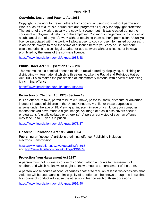# **Copyright, Design and Patents Act 1988**

Copyright is the right to prevent others from copying or using work without permission. Works such as text, music, sound, film and programs all qualify for copyright protection. The author of the work is usually the copyright owner, but if it was created during the course of employment it belongs to the employer. Copyright infringement is to copy all or a substantial part of anyone's work without obtaining them author's permission. Usuallya licence associated with the work will allow a user to copy or use it for limited purposes. It is advisable always to read the terms of a licence before you copy or use someone else's material. It is also illegal to adapt or use software without a licence or in ways prohibited by the terms of the software licence.

<https://www.legislation.gov.uk/ukpga/1988/48>

# **Public Order Act 1986 (sections 17 – 29)**

This Act makes it a criminal offence to stir up racial hatred by displaying, publishing or distributing written material which is threatening. Like the Racial and Religious Hatred Act 2006 it also makes the possession of inflammatory material with a view of releasing it a criminal offence.

<https://www.legislation.gov.uk/ukpga/1986/64>

#### **Protection of Children Act 1978 (Section 1)**

It is an offence to take, permit to be taken, make, possess, show, distribute or advertise indecent images of children in the United Kingdom. A child for these purposes is anyone under the age of 18. Viewing an indecent image of a child on your computer means that you have made a digital image. An image of a child also covers pseudophotographs (digitally collated or otherwise). A person convicted of such an offence may face up to 10 years in prison.

<https://www.legislation.gov.uk/ukpga/1978/37>

#### **Obscene Publications Act 1959 and 1964**

Publishing an "obscene" article is a criminal offence. Publishing includes electronic transmission.

<https://www.legislation.gov.uk/ukpga/Eliz2/7-8/66> and<http://www.legislation.gov.uk/ukpga/1964/74>

#### **Protection from Harassment Act 1997**

A person must not pursue a course of conduct, which amounts to harassment of another, and which he knows or ought to know amounts to harassment of the other.

A person whose course of conduct causes another to fear, on at least two occasions, that violence will be used against him is guilty of an offence if he knows or ought to know that his course of conduct will cause the other so to fear on each of those occasions.

<https://www.legislation.gov.uk/ukpga/1997/40>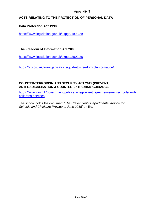# **ACTS RELATING TO THE PROTECTION OF PERSONAL DATA**

# **Data Protection Act 1998**

<https://www.legislation.gov.uk/ukpga/1998/29>

# **The Freedom of Information Act 2000**

<https://www.legislation.gov.uk/ukpga/2000/36>

<https://ico.org.uk/for-organisations/guide-to-freedom-of-information/>

# **COUNTER-TERRORISM AND SECURITY ACT 2015 (PREVENT), ANTI-RADICALISATION & COUNTER-EXTREMISM GUIDANCE**

[https://www.gov.uk/government/publications/preventing-extremism-in-schools-and](https://www.gov.uk/government/publications/preventing-extremism-in-schools-and-childrens-services)[childrens-services](https://www.gov.uk/government/publications/preventing-extremism-in-schools-and-childrens-services)

The school holds the document '*The Prevent duty Departmental Advice for Schools and Childcare Providers, June 2015*' on file.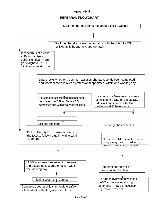# **REFERRAL FLOWCHART**

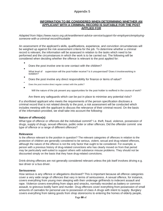#### **INFORMATION TO BE CONSIDERED WHEN DETERMINING WHETHER AN APPLICANT WITH A CRIMINAL RECORD IS SUITABLE FOR THE POST APPLIED FOR**

*Adapted from [https://www.nacro.org.uk/resettlement-advice-service/support-for-employers/employing](http://www.nacro.org.uk/resettlement-advice-service/support-for-employers/employing-)someone-with-a-criminal-record/#suitable*

An assessment of the applicant's skills, qualifications, experience, and conviction circumstances will be weighed up against the risk assessment criteria for the job. To determine whether a criminal record is relevant, the information will be assessed in relation to the tasks which need to be performed and the circumstances in which the work is to be carried out. The following will be considered when deciding whether the offence is relevant to the post applied for:

- Does the post involve one-to-one contact with the children?
- What level of supervision will the post-holder receive? Is it unsupervised? Does it involve working in isolation?
- Does the post involve any direct responsibility for finance or items of value?

▪ Does the post involve direct regular contact with the public?

▪

Will the nature of the job present any opportunities for the post-holder to reoffend in the course of work?

Are there any safeguards which can be put in place to minimise any potential risks?

If a shortlisted applicant who meets the requirements of the person specification discloses a criminal record that is not related directly to the post, a risk assessment will be conducted which includes meeting with the applicant to discuss the relevance of their criminal record. On the basis of the information provided, we shall take into account the following:

#### **Nature of offence(s)**

What type of offence or offences did the individual commit? I.e. theft, fraud, violence, possession of drugs, supply of drugs, sexual offences, public order or other offences. Did the offender commit one type of offence or a range of different offences?

#### **Relevance**

Is the offence relevant to the position in question? The relevant categories of offences in relation to the protection of children are generally considered to be serious, violent, sexual and drug-related offences, although the nature of the offence is not the only factor that ought to be considered. For example, a person with a previous history of drug-related convictions who has clearly moved on from that period may be particularly well-suited to support others with substance misuse problems. They should not be discounted simply on the basis that they have drug-related convictions.

Drink-driving offences are not generally considered relevant unless the job itself involves driving e.g. taxi driver or a bus driver.

#### **Seriousness**

How serious is any offence or allegations disclosed? This is important because all offence categories cover a very wide range of offences that vary in terms of seriousness. A sexual offence, for instance, covers everything from young men sleeping with their underage girlfriends to indecent assault and rape. Violence covers everything from slaps and smacks, normally recorded as battery or common assault, to grievous bodily harm and murder. Drug offences cover everything from possession of small amounts of cannabis for personal use to possession of class A drugs with intent to supply. Burglary covers everything from taking goods from shop storerooms to entering the homes of elderly people,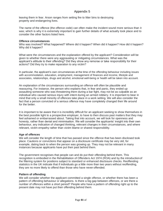leaving them in fear. Arson ranges from setting fire to litter bins to destroying property and endangering lives.

The name of the offence (the offence code) can often make the incident sound more serious than it was; which is why it is extremely important to gain further details of what actually took place and to consider the other factors listed here.

#### **Offence circumstances**

Who was involved? What happened? Where did it happen? When did it happen? How did it happen? Why did it happen?

What were the circumstances and the explanation offered by the applicant? Consideration will be given to whether there were any aggravating or mitigating circumstances. What was the applicant's attitude to their offending? Did they show any remorse or take responsibility for their actions? Did they try to make reparation to any victim?

In particular, the applicant's own circumstances at the time of the offending behaviour including issues with accommodation, education, employment, management of finances and income, lifestyle and associates, relationships, drugs and alcohol, emotional well-being or health will be taken into account.

An explanation of the circumstances surrounding an offence will often be plausible and reassuring. For instance, the person who explains that, in fear and panic, they ended up assaulting someone who was threatening them during a bar fight, may not be as culpable as an individual who caused serious injury with intent during an armed robbery. It is important to bear in mind that only a small minority of offences take place in a work setting. We will also consider the fact that a person convicted of a serious offence may have completely changed their life around for the better.

It is important to be aware that it is incredibly difficult for an applicant seeking to show themselves in the best possible light to a prospective employer, to have to then discuss past matters that they may feel ashamed or embarrassed about. Taking that into account, we will look for openness and honesty, rather than denial and minimisation. We will consider the applicants' insight into their own behaviour, any indication of changed thinking, relevant changes in their circumstances, and where relevant, victim empathy rather than victim blame or shared responsibility.

#### **Age of offences**

We will consider the length of time that has passed since the offence that has been disclosed took place. Cautions or convictions that appear on a disclosure certificate may be very old, for example, dating back to when the person was growing up. They may not be relevant in many instances because applicants have put their past behind them.

The government recognises that people can and do put their offending behind them. This recognition is embodied in the Rehabilitation of Offenders Act 1974 (ROA) and by the introductionof the filtering system for positions subject to standard or enhanced disclosure checks. Reoffending statistics in the UK indicate that if individuals go a little more than two years without reoffending, they are no more likely to offend than those who have never offended.

#### **Pattern of offending**

We will consider whether the applicant committed a single offence, or whether there has been a pattern of offending behaviour or allegations. Is there a big gap between offences, or are there a number of offences within a short period? People who have a pattern of offending right up to the present date may not have put their offending behind them.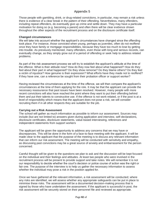Those people with gambling, drink, or drug-related convictions, in particular, may remain a risk unless there is evidence of a clear break in the pattern of their offending. Nevertheless, many offenders, including repeat offenders, do eventually give up crime and settle down. They may have a particular motivation for doing so (e.g. becoming a parent) and often there will be clear evidence shown throughout the other aspects of the recruitment process and on the disclosure certificate itself.

#### **Changed circumstances**

We will take into account whether the applicant's circumstances have changed since the offending took place. For instance, those convicted when young, perhaps as juveniles, often do not reoffend once they have family or mortgage responsibilities, because they have too much to lose by getting into trouble. As previously mentioned, many offenders, even those with long and serious records, can eventually change, as they simply grow out of a period of offending or seek help to address related problems.

As part of the risk assessment process we will try to establish the applicant's attitude at the time of the offence. What is their attitude now? How do they now feel about what happened? How do they feel about their part in what happened? Do they show remorse? Do they blame others? Do they feel a victim of injustice? How genuine is their expression? What efforts have they made not to reoffend? If they have one, can a reference be sought from their probation officer or support worker?

Having reviewed the circumstances at the time of the offence, we will then compare the applicant's circumstances at the time of them applying for the role. It may be that the applicant can provide the necessary reassurance that past issues have been resolved. However, many people with more recent convictions will also have reached the point where they want to put their offending behind them and put their talents to constructive use. If the offence is not work-related, or if the post is at a level of responsibility which means that the applicant does not pose a risk, we will consider recruiting them if in all other respects they are suitable for the job.

#### **Carrying out a Risk Assessment**

The school will gather as much information as possible to inform our assessment. Sources may include (but are not limited to) answers given during application and interview, self-declarations, disclosure certificates, disclosure statements, value-based interviewing, references and independent statements from support workers

The applicant will be given the opportunity to address any concerns that we may have or discrepancies. This will be done in the form of a face-to-face meeting with the applicant. It will be made clear to the applicant that the purpose of the meeting is to discuss any relevant information that can inform our risk assessment. The meeting will be conducted with sensitivity and empathy, as discussing past convictions may be a great source of anxiety and embarrassment for the person concerned.

Careful thought will be given to the questions we plan to ask and the discussion will be kept focused on the individual and their feelings and attitudes. At least two people who were involved in the recruitment process will be present to provide support and take notes. We will remember it is not our responsibility to decide whether the court's decision or police course of action was the right or fair one. The purpose of the interview is to help us gather the necessary information to assess whether the individual may pose a risk in the position applied for.

Once we have gathered all the relevant information, a risk assessment will be conducted; where any risks are identified, we will assess whether any appropriate safeguards can be put in place to minimise these risks. The assessment will be a documented decision-making process that is signed by those who have undertaken the assessment. If the applicant is successful in post, the risk assessment will be securely stored on their personnel file and reviewed as appropriate.